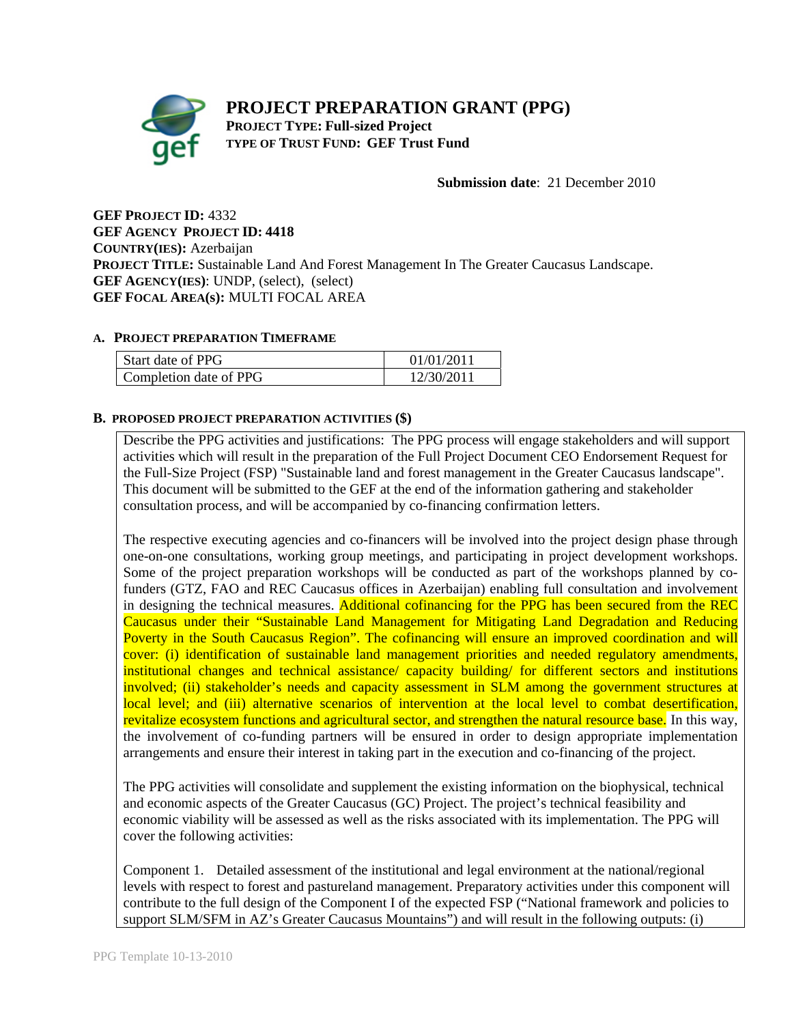# **PROJECT PREPARATION GRANT (PPG) PROJECT TYPE: Full-sized Project TYPE OF TRUST FUND: GEF Trust Fund**

**Submission date**: 21 December 2010

**GEF PROJECT ID:** 4332 **GEF AGENCY PROJECT ID: 4418 COUNTRY(IES):** Azerbaijan **PROJECT TITLE:** Sustainable Land And Forest Management In The Greater Caucasus Landscape. **GEF AGENCY(IES)**: UNDP, (select), (select) **GEF FOCAL AREA(s):** MULTI FOCAL AREA

### **A. PROJECT PREPARATION TIMEFRAME**

| Start date of PPG      | 01/01/2011 |
|------------------------|------------|
| Completion date of PPG | 12/30/201' |

### **B. PROPOSED PROJECT PREPARATION ACTIVITIES (\$)**

Describe the PPG activities and justifications: The PPG process will engage stakeholders and will support activities which will result in the preparation of the Full Project Document CEO Endorsement Request for the Full-Size Project (FSP) "Sustainable land and forest management in the Greater Caucasus landscape". This document will be submitted to the GEF at the end of the information gathering and stakeholder consultation process, and will be accompanied by co-financing confirmation letters.

The respective executing agencies and co-financers will be involved into the project design phase through one-on-one consultations, working group meetings, and participating in project development workshops. Some of the project preparation workshops will be conducted as part of the workshops planned by cofunders (GTZ, FAO and REC Caucasus offices in Azerbaijan) enabling full consultation and involvement in designing the technical measures. Additional cofinancing for the PPG has been secured from the REC Caucasus under their "Sustainable Land Management for Mitigating Land Degradation and Reducing Poverty in the South Caucasus Region". The cofinancing will ensure an improved coordination and will cover: (i) identification of sustainable land management priorities and needed regulatory amendments, institutional changes and technical assistance/ capacity building/ for different sectors and institutions involved; (ii) stakeholder's needs and capacity assessment in SLM among the government structures at local level; and (iii) alternative scenarios of intervention at the local level to combat desertification, revitalize ecosystem functions and agricultural sector, and strengthen the natural resource base. In this way, the involvement of co-funding partners will be ensured in order to design appropriate implementation arrangements and ensure their interest in taking part in the execution and co-financing of the project.

The PPG activities will consolidate and supplement the existing information on the biophysical, technical and economic aspects of the Greater Caucasus (GC) Project. The project's technical feasibility and economic viability will be assessed as well as the risks associated with its implementation. The PPG will cover the following activities:

Component 1. Detailed assessment of the institutional and legal environment at the national/regional levels with respect to forest and pastureland management. Preparatory activities under this component will contribute to the full design of the Component I of the expected FSP ("National framework and policies to support SLM/SFM in AZ's Greater Caucasus Mountains") and will result in the following outputs: (i)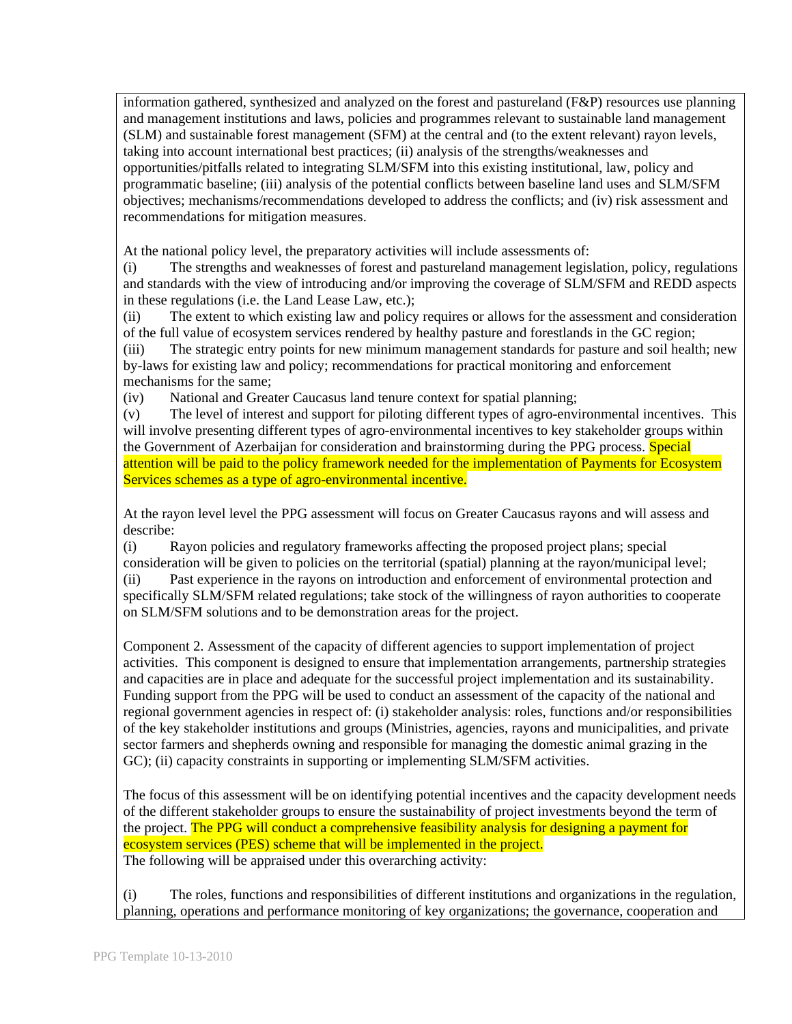information gathered, synthesized and analyzed on the forest and pastureland (F&P) resources use planning and management institutions and laws, policies and programmes relevant to sustainable land management (SLM) and sustainable forest management (SFM) at the central and (to the extent relevant) rayon levels, taking into account international best practices; (ii) analysis of the strengths/weaknesses and opportunities/pitfalls related to integrating SLM/SFM into this existing institutional, law, policy and programmatic baseline; (iii) analysis of the potential conflicts between baseline land uses and SLM/SFM objectives; mechanisms/recommendations developed to address the conflicts; and (iv) risk assessment and recommendations for mitigation measures.

At the national policy level, the preparatory activities will include assessments of:

(i) The strengths and weaknesses of forest and pastureland management legislation, policy, regulations and standards with the view of introducing and/or improving the coverage of SLM/SFM and REDD aspects in these regulations (i.e. the Land Lease Law, etc.);

(ii) The extent to which existing law and policy requires or allows for the assessment and consideration of the full value of ecosystem services rendered by healthy pasture and forestlands in the GC region;

(iii) The strategic entry points for new minimum management standards for pasture and soil health; new by-laws for existing law and policy; recommendations for practical monitoring and enforcement mechanisms for the same;

(iv) National and Greater Caucasus land tenure context for spatial planning;

(v) The level of interest and support for piloting different types of agro-environmental incentives. This will involve presenting different types of agro-environmental incentives to key stakeholder groups within the Government of Azerbaijan for consideration and brainstorming during the PPG process. Special attention will be paid to the policy framework needed for the implementation of Payments for Ecosystem Services schemes as a type of agro-environmental incentive.

At the rayon level level the PPG assessment will focus on Greater Caucasus rayons and will assess and describe:

(i) Rayon policies and regulatory frameworks affecting the proposed project plans; special consideration will be given to policies on the territorial (spatial) planning at the rayon/municipal level; (ii) Past experience in the rayons on introduction and enforcement of environmental protection and specifically SLM/SFM related regulations; take stock of the willingness of rayon authorities to cooperate on SLM/SFM solutions and to be demonstration areas for the project.

Component 2. Assessment of the capacity of different agencies to support implementation of project activities. This component is designed to ensure that implementation arrangements, partnership strategies and capacities are in place and adequate for the successful project implementation and its sustainability. Funding support from the PPG will be used to conduct an assessment of the capacity of the national and regional government agencies in respect of: (i) stakeholder analysis: roles, functions and/or responsibilities of the key stakeholder institutions and groups (Ministries, agencies, rayons and municipalities, and private sector farmers and shepherds owning and responsible for managing the domestic animal grazing in the GC); (ii) capacity constraints in supporting or implementing SLM/SFM activities.

The focus of this assessment will be on identifying potential incentives and the capacity development needs of the different stakeholder groups to ensure the sustainability of project investments beyond the term of the project. The PPG will conduct a comprehensive feasibility analysis for designing a payment for ecosystem services (PES) scheme that will be implemented in the project. The following will be appraised under this overarching activity:

(i) The roles, functions and responsibilities of different institutions and organizations in the regulation, planning, operations and performance monitoring of key organizations; the governance, cooperation and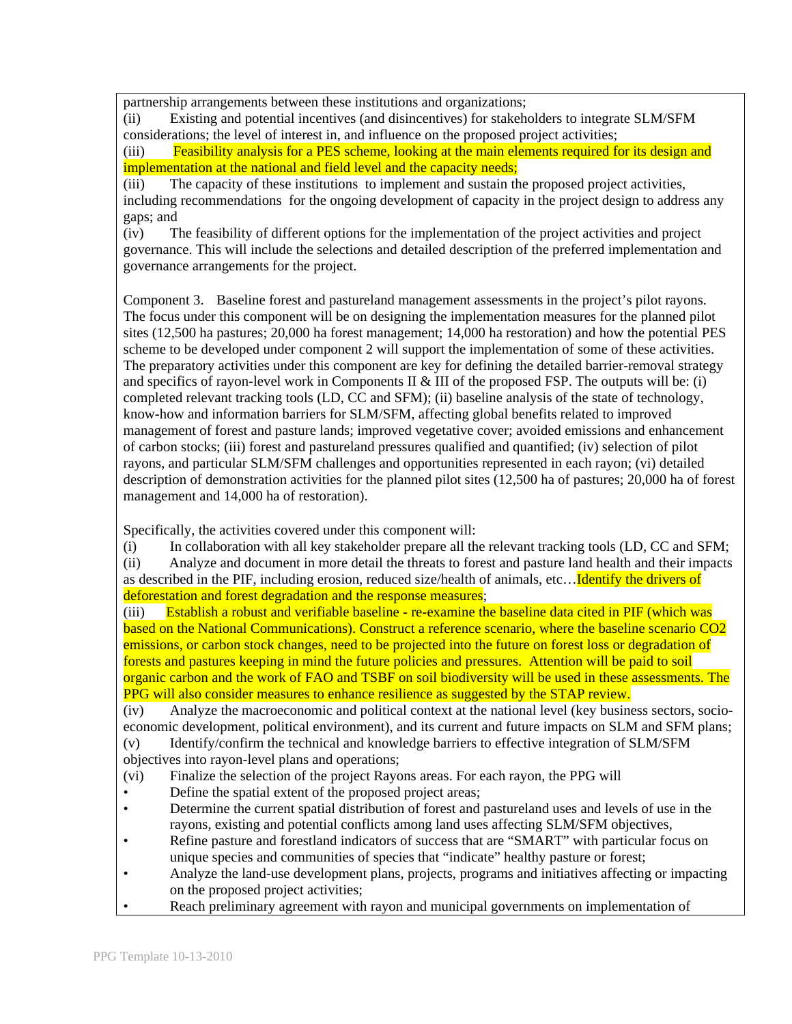partnership arrangements between these institutions and organizations;

(ii) Existing and potential incentives (and disincentives) for stakeholders to integrate SLM/SFM considerations; the level of interest in, and influence on the proposed project activities;

(iii) Feasibility analysis for a PES scheme, looking at the main elements required for its design and implementation at the national and field level and the capacity needs;

(iii) The capacity of these institutions to implement and sustain the proposed project activities, including recommendations for the ongoing development of capacity in the project design to address any gaps; and

(iv) The feasibility of different options for the implementation of the project activities and project governance. This will include the selections and detailed description of the preferred implementation and governance arrangements for the project.

Component 3. Baseline forest and pastureland management assessments in the project's pilot rayons. The focus under this component will be on designing the implementation measures for the planned pilot sites (12,500 ha pastures; 20,000 ha forest management; 14,000 ha restoration) and how the potential PES scheme to be developed under component 2 will support the implementation of some of these activities. The preparatory activities under this component are key for defining the detailed barrier-removal strategy and specifics of rayon-level work in Components II & III of the proposed FSP. The outputs will be: (i) completed relevant tracking tools (LD, CC and SFM); (ii) baseline analysis of the state of technology, know-how and information barriers for SLM/SFM, affecting global benefits related to improved management of forest and pasture lands; improved vegetative cover; avoided emissions and enhancement of carbon stocks; (iii) forest and pastureland pressures qualified and quantified; (iv) selection of pilot rayons, and particular SLM/SFM challenges and opportunities represented in each rayon; (vi) detailed description of demonstration activities for the planned pilot sites (12,500 ha of pastures; 20,000 ha of forest management and 14,000 ha of restoration).

Specifically, the activities covered under this component will:

(i) In collaboration with all key stakeholder prepare all the relevant tracking tools (LD, CC and SFM;

(ii) Analyze and document in more detail the threats to forest and pasture land health and their impacts as described in the PIF, including erosion, reduced size/health of animals, etc... Identify the drivers of deforestation and forest degradation and the response measures;

(iii) Establish a robust and verifiable baseline - re-examine the baseline data cited in PIF (which was based on the National Communications). Construct a reference scenario, where the baseline scenario CO2 emissions, or carbon stock changes, need to be projected into the future on forest loss or degradation of forests and pastures keeping in mind the future policies and pressures. Attention will be paid to soil organic carbon and the work of FAO and TSBF on soil biodiversity will be used in these assessments. The PPG will also consider measures to enhance resilience as suggested by the STAP review.

(iv) Analyze the macroeconomic and political context at the national level (key business sectors, socioeconomic development, political environment), and its current and future impacts on SLM and SFM plans; (v) Identify/confirm the technical and knowledge barriers to effective integration of SLM/SFM

objectives into rayon-level plans and operations;

- (vi) Finalize the selection of the project Rayons areas. For each rayon, the PPG will
- Define the spatial extent of the proposed project areas;
- Determine the current spatial distribution of forest and pastureland uses and levels of use in the rayons, existing and potential conflicts among land uses affecting SLM/SFM objectives,
- Refine pasture and forestland indicators of success that are "SMART" with particular focus on unique species and communities of species that "indicate" healthy pasture or forest;
- Analyze the land-use development plans, projects, programs and initiatives affecting or impacting on the proposed project activities;
- Reach preliminary agreement with rayon and municipal governments on implementation of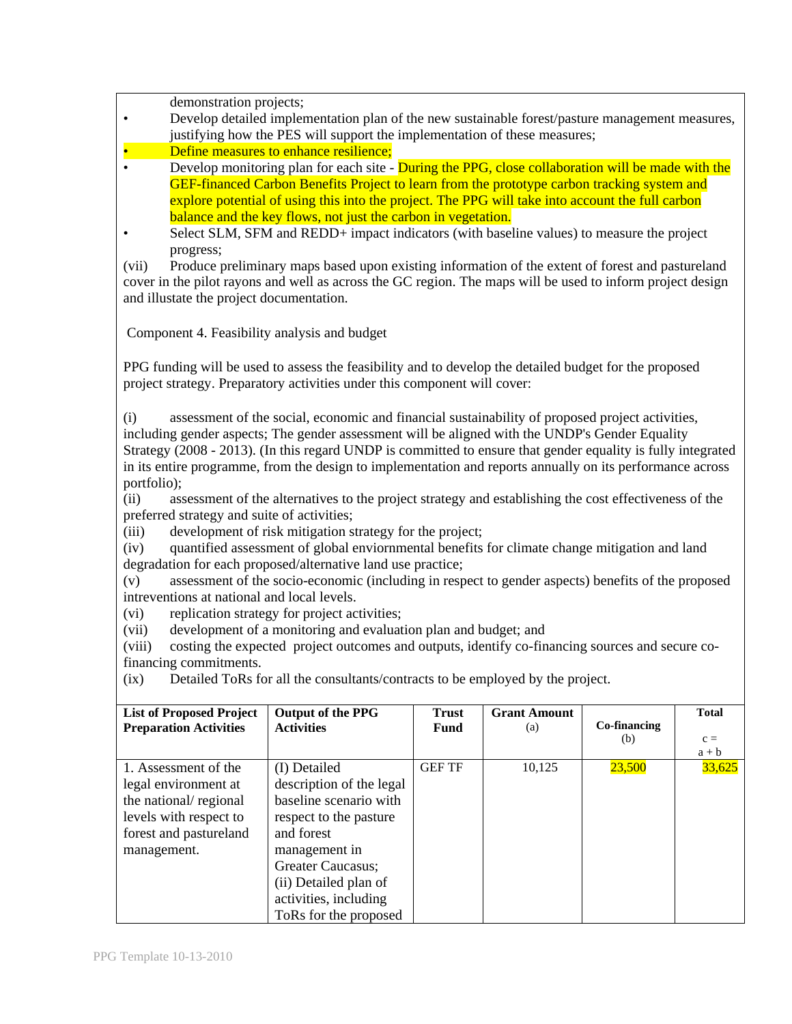demonstration projects;

- Develop detailed implementation plan of the new sustainable forest/pasture management measures, justifying how the PES will support the implementation of these measures;
- Define measures to enhance resilience;
- Develop monitoring plan for each site During the PPG, close collaboration will be made with the GEF-financed Carbon Benefits Project to learn from the prototype carbon tracking system and explore potential of using this into the project. The PPG will take into account the full carbon balance and the key flows, not just the carbon in vegetation.
- Select SLM, SFM and REDD+ impact indicators (with baseline values) to measure the project progress;

(vii) Produce preliminary maps based upon existing information of the extent of forest and pastureland cover in the pilot rayons and well as across the GC region. The maps will be used to inform project design and illustate the project documentation.

Component 4. Feasibility analysis and budget

PPG funding will be used to assess the feasibility and to develop the detailed budget for the proposed project strategy. Preparatory activities under this component will cover:

(i) assessment of the social, economic and financial sustainability of proposed project activities, including gender aspects; The gender assessment will be aligned with the UNDP's Gender Equality Strategy (2008 - 2013). (In this regard UNDP is committed to ensure that gender equality is fully integrated in its entire programme, from the design to implementation and reports annually on its performance across portfolio);

(ii) assessment of the alternatives to the project strategy and establishing the cost effectiveness of the preferred strategy and suite of activities;

(iii) development of risk mitigation strategy for the project;

(iv) quantified assessment of global enviornmental benefits for climate change mitigation and land degradation for each proposed/alternative land use practice;

(v) assessment of the socio-economic (including in respect to gender aspects) benefits of the proposed intreventions at national and local levels.

(vi) replication strategy for project activities;

(vii) development of a monitoring and evaluation plan and budget; and

(viii) costing the expected project outcomes and outputs, identify co-financing sources and secure cofinancing commitments.

(ix) Detailed ToRs for all the consultants/contracts to be employed by the project.

| <b>List of Proposed Project</b><br><b>Preparation Activities</b>                                                                         | <b>Output of the PPG</b><br><b>Activities</b>                                                                                                                                                                               | <b>Trust</b><br><b>Fund</b> | <b>Grant Amount</b><br>(a) | Co-financing<br>(b) | <b>Total</b><br>$c =$<br>$a + b$ |
|------------------------------------------------------------------------------------------------------------------------------------------|-----------------------------------------------------------------------------------------------------------------------------------------------------------------------------------------------------------------------------|-----------------------------|----------------------------|---------------------|----------------------------------|
| 1. Assessment of the<br>legal environment at<br>the national/regional<br>levels with respect to<br>forest and pastureland<br>management. | (I) Detailed<br>description of the legal<br>baseline scenario with<br>respect to the pasture<br>and forest<br>management in<br>Greater Caucasus;<br>(ii) Detailed plan of<br>activities, including<br>ToRs for the proposed | <b>GEF TF</b>               | 10,125                     | 23,500              | 33,625                           |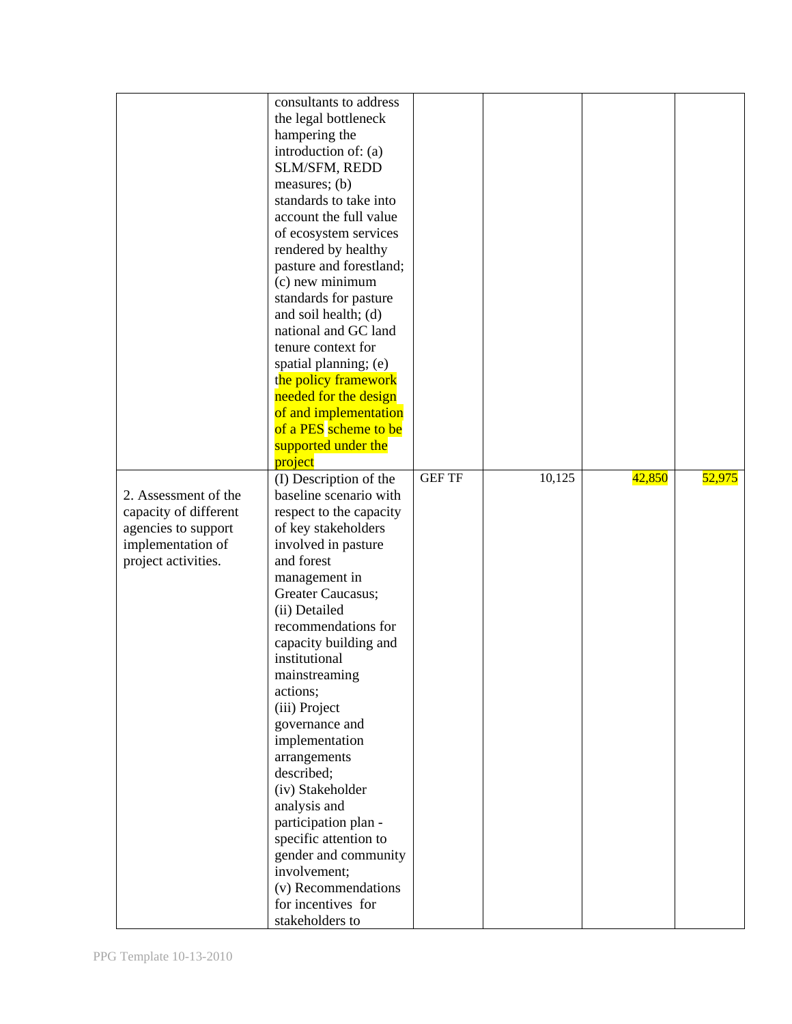|                                                                                                                  | consultants to address<br>the legal bottleneck<br>hampering the<br>introduction of: (a)<br>SLM/SFM, REDD<br>measures; $(b)$<br>standards to take into<br>account the full value<br>of ecosystem services<br>rendered by healthy<br>pasture and forestland;<br>$(c)$ new minimum<br>standards for pasture<br>and soil health; (d)<br>national and GC land<br>tenure context for<br>spatial planning; (e)<br>the policy framework<br>needed for the design<br>of and implementation<br>of a PES scheme to be<br>supported under the<br>project                                 |               |        |        |        |
|------------------------------------------------------------------------------------------------------------------|------------------------------------------------------------------------------------------------------------------------------------------------------------------------------------------------------------------------------------------------------------------------------------------------------------------------------------------------------------------------------------------------------------------------------------------------------------------------------------------------------------------------------------------------------------------------------|---------------|--------|--------|--------|
| 2. Assessment of the<br>capacity of different<br>agencies to support<br>implementation of<br>project activities. | (I) Description of the<br>baseline scenario with<br>respect to the capacity<br>of key stakeholders<br>involved in pasture<br>and forest<br>management in<br>Greater Caucasus;<br>(ii) Detailed<br>recommendations for<br>capacity building and<br>institutional<br>mainstreaming<br>actions;<br>(iii) Project<br>governance and<br>implementation<br>arrangements<br>described;<br>(iv) Stakeholder<br>analysis and<br>participation plan -<br>specific attention to<br>gender and community<br>involvement;<br>(v) Recommendations<br>for incentives for<br>stakeholders to | <b>GEF TF</b> | 10,125 | 42,850 | 52,975 |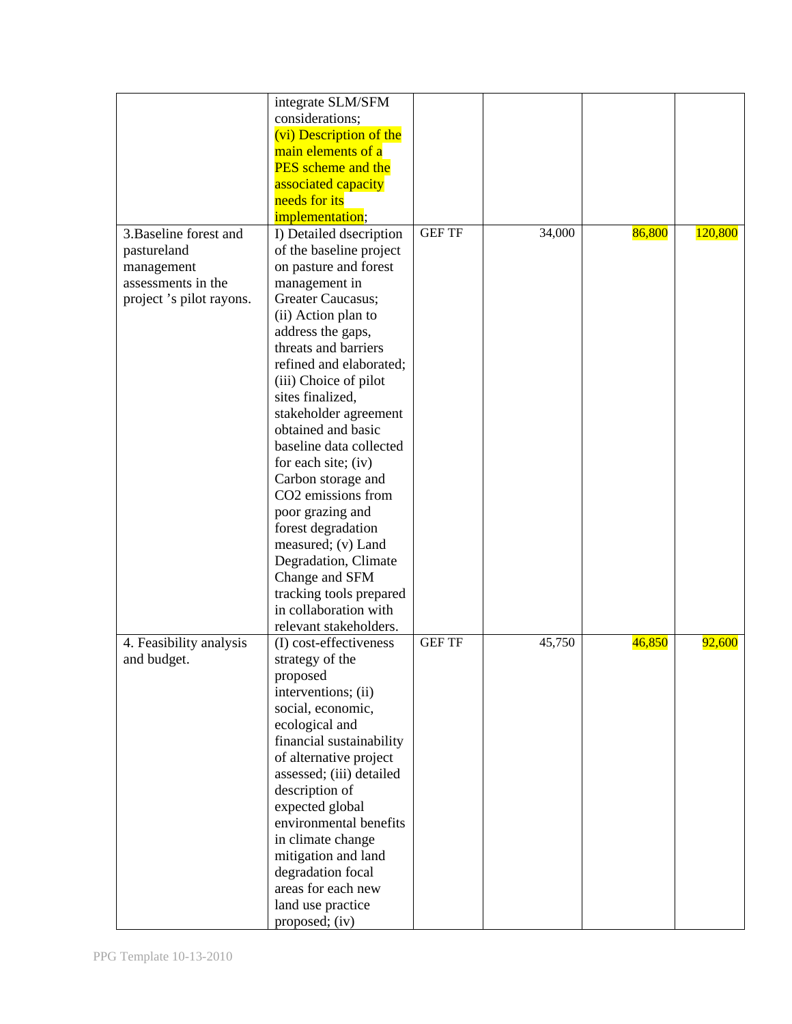|                         | integrate SLM/SFM                                |               |        |        |         |
|-------------------------|--------------------------------------------------|---------------|--------|--------|---------|
|                         | considerations;                                  |               |        |        |         |
|                         | (vi) Description of the                          |               |        |        |         |
|                         | main elements of a                               |               |        |        |         |
|                         | <b>PES</b> scheme and the                        |               |        |        |         |
|                         | associated capacity                              |               |        |        |         |
|                         | needs for its                                    |               |        |        |         |
|                         | implementation;                                  |               |        |        |         |
| 3. Baseline forest and  | I) Detailed dsecription                          | <b>GEF TF</b> | 34,000 | 86,800 | 120,800 |
| pastureland             | of the baseline project                          |               |        |        |         |
| management              | on pasture and forest                            |               |        |        |         |
| assessments in the      | management in                                    |               |        |        |         |
| project's pilot rayons. | Greater Caucasus;                                |               |        |        |         |
|                         | (ii) Action plan to                              |               |        |        |         |
|                         | address the gaps,                                |               |        |        |         |
|                         | threats and barriers                             |               |        |        |         |
|                         | refined and elaborated;                          |               |        |        |         |
|                         | (iii) Choice of pilot                            |               |        |        |         |
|                         | sites finalized,                                 |               |        |        |         |
|                         | stakeholder agreement                            |               |        |        |         |
|                         | obtained and basic                               |               |        |        |         |
|                         | baseline data collected                          |               |        |        |         |
|                         | for each site; (iv)                              |               |        |        |         |
|                         | Carbon storage and                               |               |        |        |         |
|                         | CO <sub>2</sub> emissions from                   |               |        |        |         |
|                         | poor grazing and                                 |               |        |        |         |
|                         | forest degradation                               |               |        |        |         |
|                         | measured; (v) Land                               |               |        |        |         |
|                         |                                                  |               |        |        |         |
|                         | Degradation, Climate                             |               |        |        |         |
|                         | Change and SFM                                   |               |        |        |         |
|                         | tracking tools prepared<br>in collaboration with |               |        |        |         |
|                         |                                                  |               |        |        |         |
|                         | relevant stakeholders.                           |               |        |        |         |
| 4. Feasibility analysis | (I) cost-effectiveness                           | <b>GEF TF</b> | 45,750 | 46,850 | 92,600  |
| and budget.             | strategy of the                                  |               |        |        |         |
|                         | proposed                                         |               |        |        |         |
|                         | interventions; (ii)                              |               |        |        |         |
|                         | social, economic,                                |               |        |        |         |
|                         | ecological and                                   |               |        |        |         |
|                         | financial sustainability                         |               |        |        |         |
|                         | of alternative project                           |               |        |        |         |
|                         | assessed; (iii) detailed                         |               |        |        |         |
|                         | description of                                   |               |        |        |         |
|                         | expected global                                  |               |        |        |         |
|                         | environmental benefits                           |               |        |        |         |
|                         | in climate change                                |               |        |        |         |
|                         | mitigation and land                              |               |        |        |         |
|                         | degradation focal                                |               |        |        |         |
|                         | areas for each new                               |               |        |        |         |
|                         | land use practice                                |               |        |        |         |
|                         | proposed; (iv)                                   |               |        |        |         |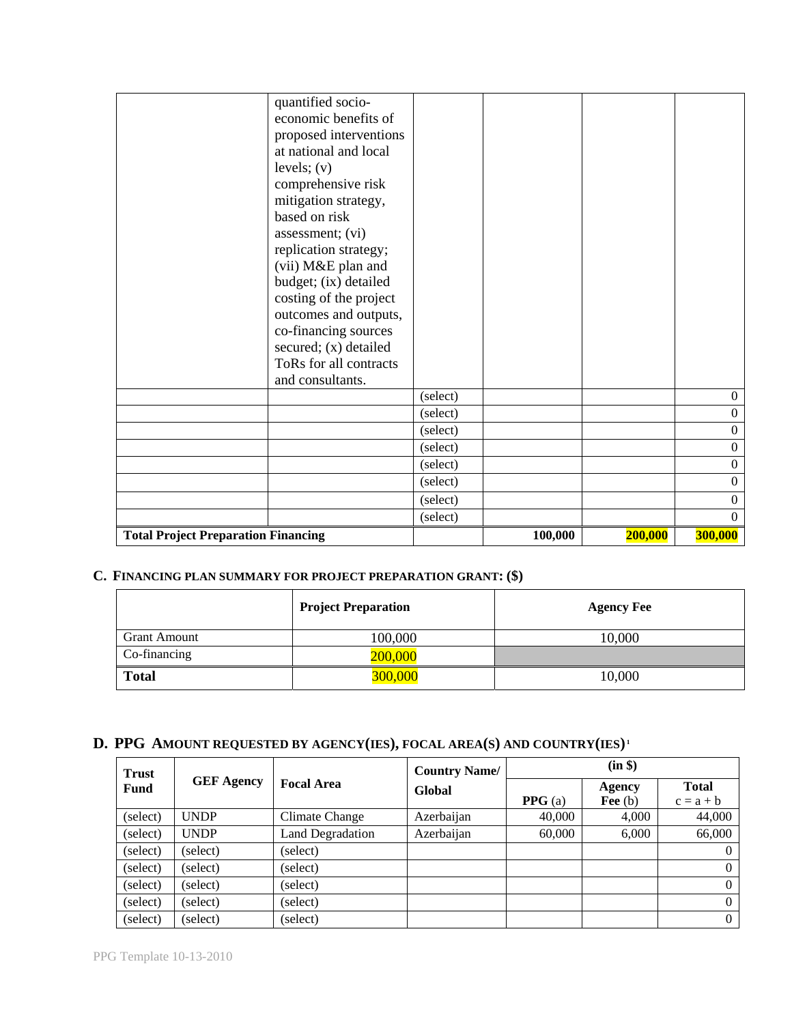| quantified socio-<br>economic benefits of<br>proposed interventions<br>at national and local<br>levels; $(v)$<br>comprehensive risk<br>mitigation strategy,<br>based on risk<br>assessment; (vi)<br>replication strategy;<br>(vii) M&E plan and<br>budget; (ix) detailed<br>costing of the project<br>outcomes and outputs,<br>co-financing sources<br>secured; (x) detailed<br>ToRs for all contracts |                      |         |         |                                      |
|--------------------------------------------------------------------------------------------------------------------------------------------------------------------------------------------------------------------------------------------------------------------------------------------------------------------------------------------------------------------------------------------------------|----------------------|---------|---------|--------------------------------------|
| and consultants.                                                                                                                                                                                                                                                                                                                                                                                       |                      |         |         |                                      |
|                                                                                                                                                                                                                                                                                                                                                                                                        | (select)             |         |         | $\overline{0}$                       |
|                                                                                                                                                                                                                                                                                                                                                                                                        | (select)<br>(select) |         |         | $\boldsymbol{0}$<br>$\boldsymbol{0}$ |
|                                                                                                                                                                                                                                                                                                                                                                                                        | (select)             |         |         | $\mathbf{0}$                         |
|                                                                                                                                                                                                                                                                                                                                                                                                        | (select)             |         |         | $\mathbf{0}$                         |
|                                                                                                                                                                                                                                                                                                                                                                                                        | (select)             |         |         | $\Omega$                             |
|                                                                                                                                                                                                                                                                                                                                                                                                        | (select)             |         |         | $\Omega$                             |
|                                                                                                                                                                                                                                                                                                                                                                                                        | (select)             |         |         | $\boldsymbol{0}$                     |
| <b>Total Project Preparation Financing</b>                                                                                                                                                                                                                                                                                                                                                             |                      | 100,000 | 200,000 | 300,000                              |

## **C. FINANCING PLAN SUMMARY FOR PROJECT PREPARATION GRANT: (\$)**

|                     | <b>Project Preparation</b> | <b>Agency Fee</b> |
|---------------------|----------------------------|-------------------|
| <b>Grant Amount</b> | 100,000                    | 10,000            |
| Co-financing        | 200,000                    |                   |
| <b>Total</b>        | 300,000                    | 10,000            |

# **D. PPG AMOUNT REQUESTED BY AGENCY(IES), FOCAL AREA(S) AND COUNTRY(IES) <sup>1</sup>**

| <b>Trust</b> |                   |                         | <b>Country Name/</b> |                  | (in \$)             |                             |  |  |
|--------------|-------------------|-------------------------|----------------------|------------------|---------------------|-----------------------------|--|--|
| Fund         | <b>GEF Agency</b> | <b>Focal Area</b>       | Global               | <b>PPG</b> $(a)$ | Agency<br>Fee $(b)$ | <b>Total</b><br>$c = a + b$ |  |  |
| (select)     | <b>UNDP</b>       | Climate Change          | Azerbaijan           | 40,000           | 4,000               | 44,000                      |  |  |
| (select)     | <b>UNDP</b>       | <b>Land Degradation</b> | Azerbaijan           | 60,000           | 6,000               | 66,000                      |  |  |
| (select)     | (select)          | (select)                |                      |                  |                     | 0                           |  |  |
| (select)     | (select)          | (select)                |                      |                  |                     | $\Omega$                    |  |  |
| (select)     | (select)          | (select)                |                      |                  |                     | $\mathbf{0}$                |  |  |
| (select)     | (select)          | (select)                |                      |                  |                     | $\Omega$                    |  |  |
| (select)     | (select)          | (select)                |                      |                  |                     | $\overline{0}$              |  |  |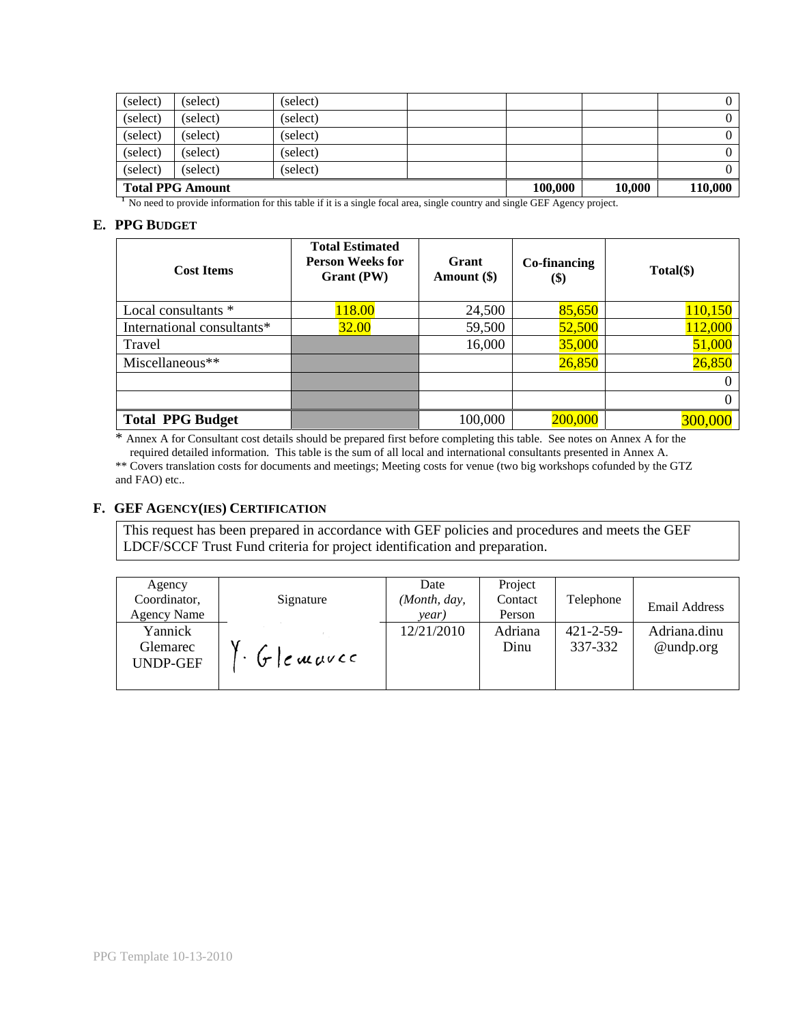| (select)                | (select) | (select) |         |        |         |  |
|-------------------------|----------|----------|---------|--------|---------|--|
| (select)                | (select) | (select) |         |        |         |  |
| (select)                | (select) | (select) |         |        |         |  |
| (select)                | (select) | (select) |         |        |         |  |
| (select)                | (select) | (select) |         |        |         |  |
| <b>Total PPG Amount</b> |          |          | 100,000 | 10.000 | 110,000 |  |

<sup>1</sup> No need to provide information for this table if it is a single focal area, single country and single GEF Agency project.

### **E. PPG BUDGET**

| <b>Cost Items</b>          | <b>Total Estimated</b><br><b>Person Weeks for</b><br>Grant (PW) | Grant<br>Amount (\$) | Co-financing<br>$\left( \text{\$}\right)$ | Total(\$) |
|----------------------------|-----------------------------------------------------------------|----------------------|-------------------------------------------|-----------|
| Local consultants *        | 118.00                                                          | 24,500               | 85,650                                    | 110,150   |
| International consultants* | 32.00                                                           | 59,500               | 52,500                                    | 112,000   |
| Travel                     |                                                                 | 16,000               | 35,000                                    | 51,000    |
| Miscellaneous**            |                                                                 |                      | 26,850                                    | 26,850    |
|                            |                                                                 |                      |                                           | $\Omega$  |
|                            |                                                                 |                      |                                           | $\Omega$  |
| <b>Total PPG Budget</b>    |                                                                 | 100,000              | 200,000                                   | 300,000   |

\* Annex A for Consultant cost details should be prepared first before completing this table. See notes on Annex A for the required detailed information. This table is the sum of all local and international consultants presented in Annex A.

\*\* Covers translation costs for documents and meetings; Meeting costs for venue (two big workshops cofunded by the GTZ and FAO) etc..

### **F. GEF AGENCY(IES) CERTIFICATION**

This request has been prepared in accordance with GEF policies and procedures and meets the GEF LDCF/SCCF Trust Fund criteria for project identification and preparation.

| Agency<br>Coordinator,<br><b>Agency Name</b> | Signature                      | Date<br>(Month, day,<br>year) | Project<br>Contact<br>Person | Telephone                 | Email Address             |
|----------------------------------------------|--------------------------------|-------------------------------|------------------------------|---------------------------|---------------------------|
| Yannick<br>Glemarec<br><b>UNDP-GEF</b>       | $(r)$ $\epsilon$ <i>muv</i> cc | 12/21/2010                    | Adriana<br>Dinu              | $421 - 2 - 59$<br>337-332 | Adriana.dinu<br>@undp.org |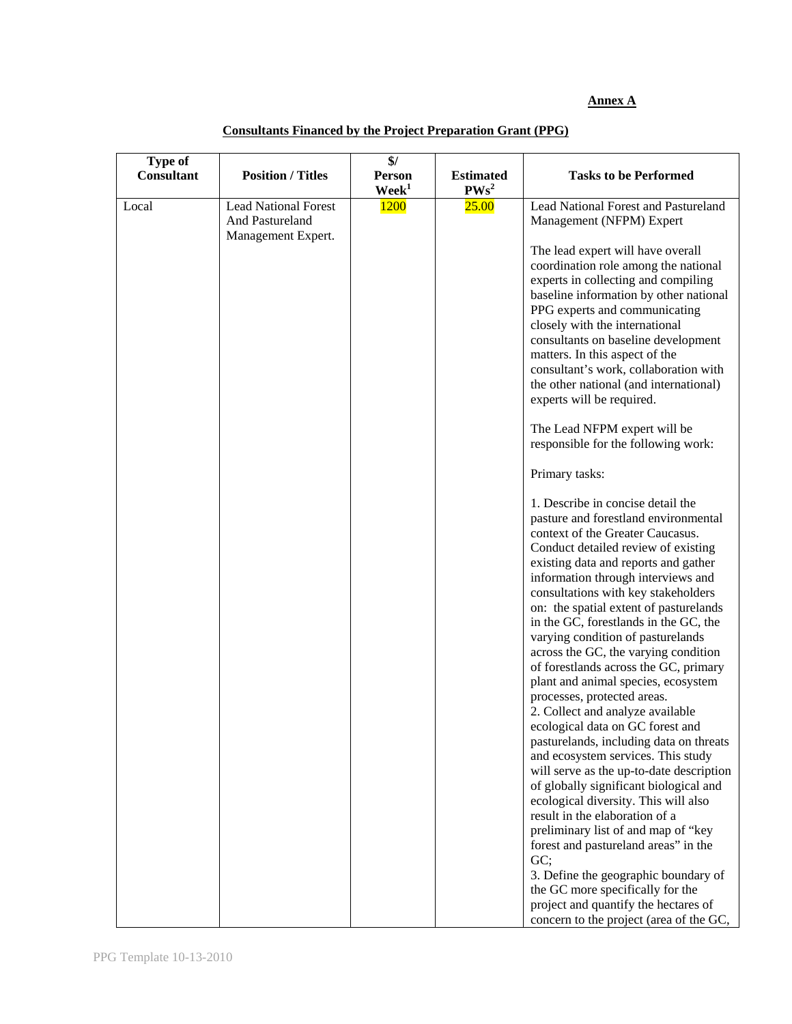#### **Annex A**

| <b>Type of</b><br><b>Consultant</b> | <b>Position / Titles</b>                                             | \$/<br><b>Person</b><br>$\mathbf{W}\mathbf{e}\mathbf{e}\mathbf{k}^1$ | <b>Estimated</b><br>PWs <sup>2</sup> | <b>Tasks to be Performed</b>                                                                                                                                                                                                                                                                                                                                                                                                                           |
|-------------------------------------|----------------------------------------------------------------------|----------------------------------------------------------------------|--------------------------------------|--------------------------------------------------------------------------------------------------------------------------------------------------------------------------------------------------------------------------------------------------------------------------------------------------------------------------------------------------------------------------------------------------------------------------------------------------------|
| Local                               | <b>Lead National Forest</b><br>And Pastureland<br>Management Expert. | 1200                                                                 | 25.00                                | Lead National Forest and Pastureland<br>Management (NFPM) Expert                                                                                                                                                                                                                                                                                                                                                                                       |
|                                     |                                                                      |                                                                      |                                      | The lead expert will have overall<br>coordination role among the national<br>experts in collecting and compiling<br>baseline information by other national<br>PPG experts and communicating<br>closely with the international<br>consultants on baseline development<br>matters. In this aspect of the<br>consultant's work, collaboration with<br>the other national (and international)<br>experts will be required.<br>The Lead NFPM expert will be |
|                                     |                                                                      |                                                                      |                                      | responsible for the following work:<br>Primary tasks:                                                                                                                                                                                                                                                                                                                                                                                                  |
|                                     |                                                                      |                                                                      |                                      | 1. Describe in concise detail the<br>pasture and forestland environmental<br>context of the Greater Caucasus.<br>Conduct detailed review of existing<br>existing data and reports and gather<br>information through interviews and<br>consultations with key stakeholders<br>on: the spatial extent of pasturelands                                                                                                                                    |
|                                     |                                                                      |                                                                      |                                      | in the GC, forestlands in the GC, the<br>varying condition of pasturelands<br>across the GC, the varying condition<br>of forestlands across the GC, primary                                                                                                                                                                                                                                                                                            |
|                                     |                                                                      |                                                                      |                                      | plant and animal species, ecosystem<br>processes, protected areas.<br>2. Collect and analyze available<br>ecological data on GC forest and                                                                                                                                                                                                                                                                                                             |
|                                     |                                                                      |                                                                      |                                      | pasturelands, including data on threats<br>and ecosystem services. This study<br>will serve as the up-to-date description<br>of globally significant biological and<br>ecological diversity. This will also                                                                                                                                                                                                                                            |
|                                     |                                                                      |                                                                      |                                      | result in the elaboration of a<br>preliminary list of and map of "key<br>forest and pastureland areas" in the<br>GC;                                                                                                                                                                                                                                                                                                                                   |
|                                     |                                                                      |                                                                      |                                      | 3. Define the geographic boundary of<br>the GC more specifically for the<br>project and quantify the hectares of<br>concern to the project (area of the GC,                                                                                                                                                                                                                                                                                            |

## **Consultants Financed by the Project Preparation Grant (PPG)**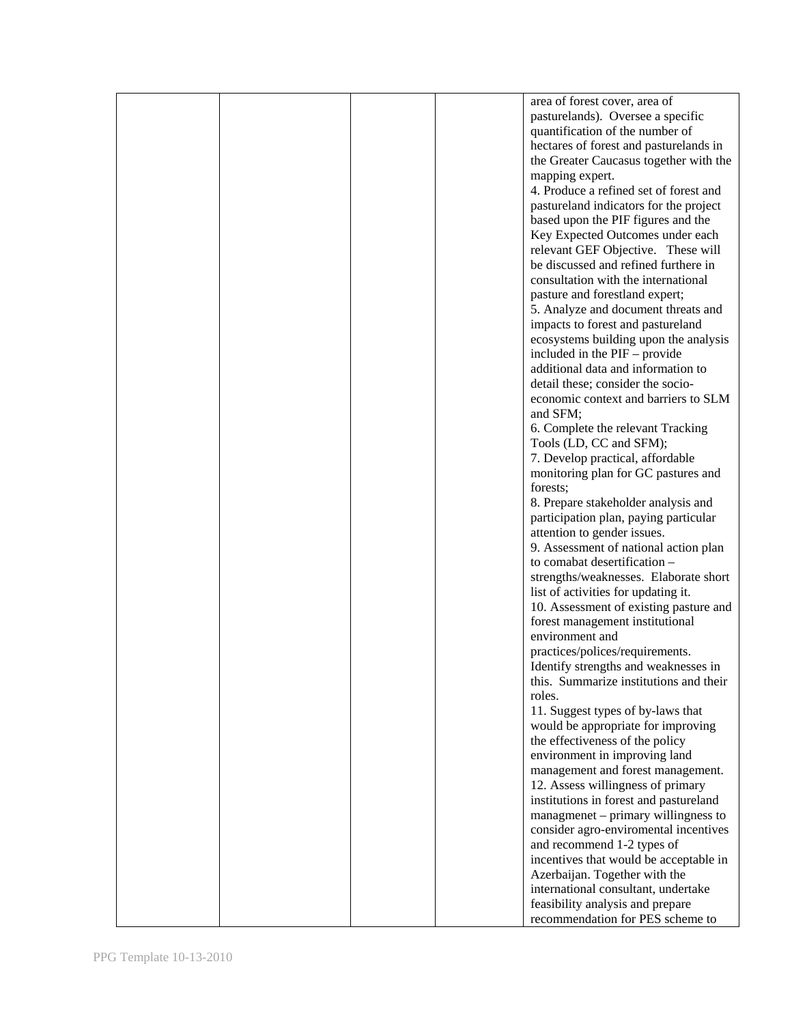|  |  | area of forest cover, area of          |
|--|--|----------------------------------------|
|  |  | pasturelands). Oversee a specific      |
|  |  |                                        |
|  |  | quantification of the number of        |
|  |  | hectares of forest and pasturelands in |
|  |  | the Greater Caucasus together with the |
|  |  |                                        |
|  |  | mapping expert.                        |
|  |  | 4. Produce a refined set of forest and |
|  |  | pastureland indicators for the project |
|  |  |                                        |
|  |  | based upon the PIF figures and the     |
|  |  | Key Expected Outcomes under each       |
|  |  | relevant GEF Objective. These will     |
|  |  |                                        |
|  |  | be discussed and refined furthere in   |
|  |  | consultation with the international    |
|  |  | pasture and forestland expert;         |
|  |  |                                        |
|  |  | 5. Analyze and document threats and    |
|  |  | impacts to forest and pastureland      |
|  |  | ecosystems building upon the analysis  |
|  |  |                                        |
|  |  | included in the PIF – provide          |
|  |  | additional data and information to     |
|  |  | detail these; consider the socio-      |
|  |  |                                        |
|  |  | economic context and barriers to SLM   |
|  |  | and SFM;                               |
|  |  | 6. Complete the relevant Tracking      |
|  |  |                                        |
|  |  | Tools (LD, CC and SFM);                |
|  |  | 7. Develop practical, affordable       |
|  |  | monitoring plan for GC pastures and    |
|  |  |                                        |
|  |  | forests;                               |
|  |  | 8. Prepare stakeholder analysis and    |
|  |  | participation plan, paying particular  |
|  |  |                                        |
|  |  | attention to gender issues.            |
|  |  | 9. Assessment of national action plan  |
|  |  | to comabat desertification -           |
|  |  |                                        |
|  |  | strengths/weaknesses. Elaborate short  |
|  |  | list of activities for updating it.    |
|  |  | 10. Assessment of existing pasture and |
|  |  | forest management institutional        |
|  |  |                                        |
|  |  | environment and                        |
|  |  | practices/polices/requirements.        |
|  |  | Identify strengths and weaknesses in   |
|  |  |                                        |
|  |  | this. Summarize institutions and their |
|  |  | roles.                                 |
|  |  | 11. Suggest types of by-laws that      |
|  |  |                                        |
|  |  | would be appropriate for improving     |
|  |  | the effectiveness of the policy        |
|  |  | environment in improving land          |
|  |  |                                        |
|  |  | management and forest management.      |
|  |  | 12. Assess willingness of primary      |
|  |  | institutions in forest and pastureland |
|  |  | managmenet – primary willingness to    |
|  |  |                                        |
|  |  | consider agro-enviromental incentives  |
|  |  | and recommend 1-2 types of             |
|  |  | incentives that would be acceptable in |
|  |  |                                        |
|  |  | Azerbaijan. Together with the          |
|  |  | international consultant, undertake    |
|  |  | feasibility analysis and prepare       |
|  |  |                                        |
|  |  | recommendation for PES scheme to       |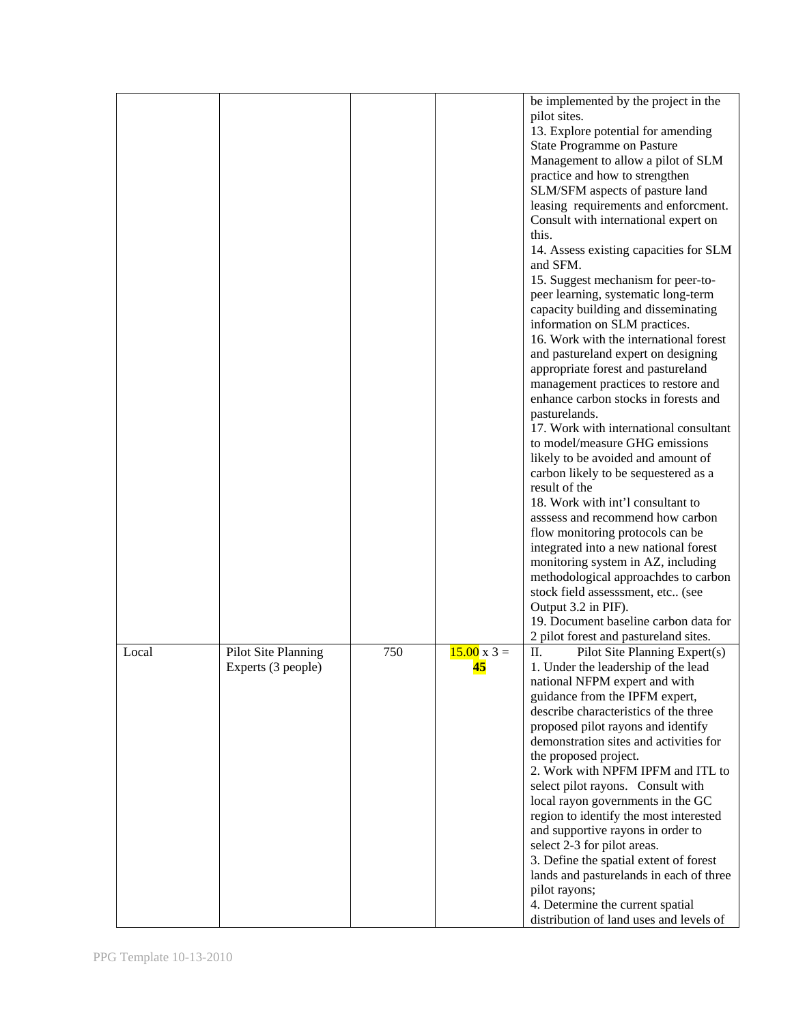|       |                     |     |                    | be implemented by the project in the    |
|-------|---------------------|-----|--------------------|-----------------------------------------|
|       |                     |     |                    | pilot sites.                            |
|       |                     |     |                    | 13. Explore potential for amending      |
|       |                     |     |                    | State Programme on Pasture              |
|       |                     |     |                    | Management to allow a pilot of SLM      |
|       |                     |     |                    | practice and how to strengthen          |
|       |                     |     |                    | SLM/SFM aspects of pasture land         |
|       |                     |     |                    | leasing requirements and enforcment.    |
|       |                     |     |                    | Consult with international expert on    |
|       |                     |     |                    | this.                                   |
|       |                     |     |                    | 14. Assess existing capacities for SLM  |
|       |                     |     |                    | and SFM.                                |
|       |                     |     |                    | 15. Suggest mechanism for peer-to-      |
|       |                     |     |                    | peer learning, systematic long-term     |
|       |                     |     |                    |                                         |
|       |                     |     |                    | capacity building and disseminating     |
|       |                     |     |                    | information on SLM practices.           |
|       |                     |     |                    | 16. Work with the international forest  |
|       |                     |     |                    | and pastureland expert on designing     |
|       |                     |     |                    | appropriate forest and pastureland      |
|       |                     |     |                    | management practices to restore and     |
|       |                     |     |                    | enhance carbon stocks in forests and    |
|       |                     |     |                    | pasturelands.                           |
|       |                     |     |                    | 17. Work with international consultant  |
|       |                     |     |                    | to model/measure GHG emissions          |
|       |                     |     |                    | likely to be avoided and amount of      |
|       |                     |     |                    | carbon likely to be sequestered as a    |
|       |                     |     |                    | result of the                           |
|       |                     |     |                    | 18. Work with int'l consultant to       |
|       |                     |     |                    | asssess and recommend how carbon        |
|       |                     |     |                    |                                         |
|       |                     |     |                    | flow monitoring protocols can be        |
|       |                     |     |                    | integrated into a new national forest   |
|       |                     |     |                    | monitoring system in AZ, including      |
|       |                     |     |                    | methodological approachdes to carbon    |
|       |                     |     |                    | stock field assesssment, etc (see       |
|       |                     |     |                    | Output 3.2 in PIF).                     |
|       |                     |     |                    | 19. Document baseline carbon data for   |
|       |                     |     |                    | 2 pilot forest and pastureland sites.   |
| Local | Pilot Site Planning | 750 | $15.00 \times 3 =$ | Π.<br>Pilot Site Planning Expert(s)     |
|       | Experts (3 people)  |     | 45                 | 1. Under the leadership of the lead     |
|       |                     |     |                    | national NFPM expert and with           |
|       |                     |     |                    | guidance from the IPFM expert,          |
|       |                     |     |                    | describe characteristics of the three   |
|       |                     |     |                    | proposed pilot rayons and identify      |
|       |                     |     |                    | demonstration sites and activities for  |
|       |                     |     |                    |                                         |
|       |                     |     |                    | the proposed project.                   |
|       |                     |     |                    | 2. Work with NPFM IPFM and ITL to       |
|       |                     |     |                    | select pilot rayons. Consult with       |
|       |                     |     |                    | local rayon governments in the GC       |
|       |                     |     |                    | region to identify the most interested  |
|       |                     |     |                    | and supportive rayons in order to       |
|       |                     |     |                    | select 2-3 for pilot areas.             |
|       |                     |     |                    | 3. Define the spatial extent of forest  |
|       |                     |     |                    | lands and pasturelands in each of three |
|       |                     |     |                    | pilot rayons;                           |
|       |                     |     |                    | 4. Determine the current spatial        |
|       |                     |     |                    | distribution of land uses and levels of |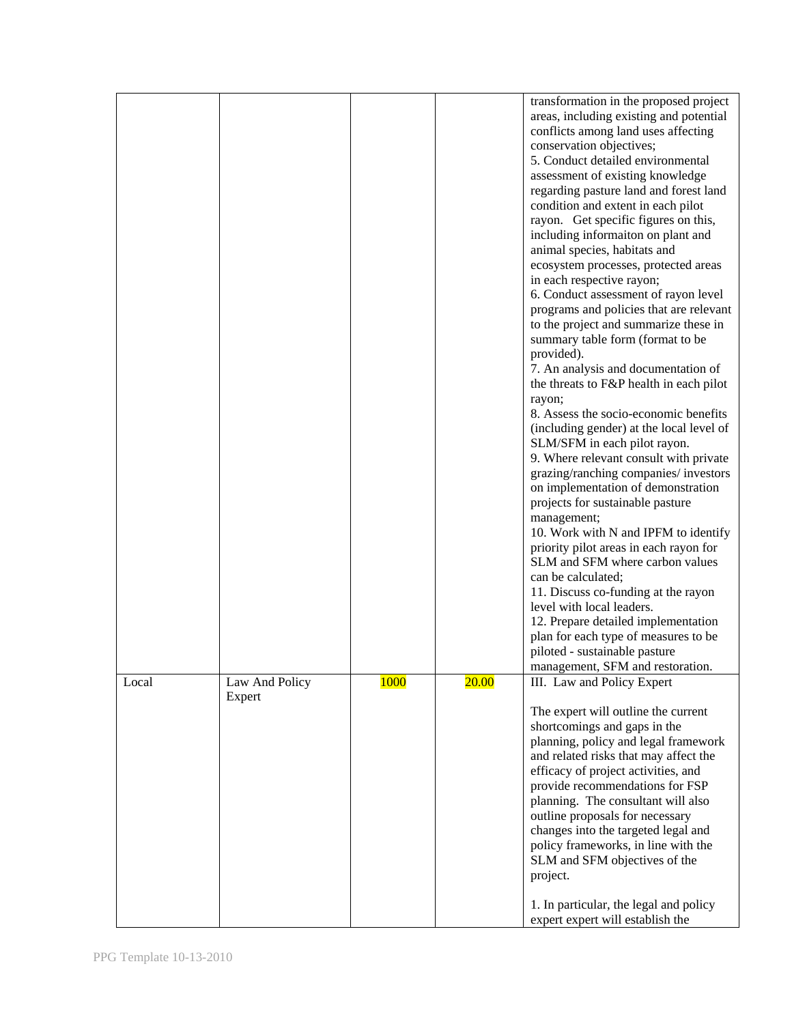|       |                |             |              | transformation in the proposed project<br>areas, including existing and potential<br>conflicts among land uses affecting<br>conservation objectives;<br>5. Conduct detailed environmental<br>assessment of existing knowledge<br>regarding pasture land and forest land<br>condition and extent in each pilot<br>rayon. Get specific figures on this,<br>including informaiton on plant and<br>animal species, habitats and<br>ecosystem processes, protected areas<br>in each respective rayon;<br>6. Conduct assessment of rayon level<br>programs and policies that are relevant<br>to the project and summarize these in<br>summary table form (format to be<br>provided).<br>7. An analysis and documentation of<br>the threats to F&P health in each pilot<br>rayon;<br>8. Assess the socio-economic benefits<br>(including gender) at the local level of<br>SLM/SFM in each pilot rayon.<br>9. Where relevant consult with private<br>grazing/ranching companies/ investors<br>on implementation of demonstration<br>projects for sustainable pasture<br>management;<br>10. Work with N and IPFM to identify<br>priority pilot areas in each rayon for<br>SLM and SFM where carbon values<br>can be calculated;<br>11. Discuss co-funding at the rayon<br>level with local leaders.<br>12. Prepare detailed implementation<br>plan for each type of measures to be<br>piloted - sustainable pasture |
|-------|----------------|-------------|--------------|------------------------------------------------------------------------------------------------------------------------------------------------------------------------------------------------------------------------------------------------------------------------------------------------------------------------------------------------------------------------------------------------------------------------------------------------------------------------------------------------------------------------------------------------------------------------------------------------------------------------------------------------------------------------------------------------------------------------------------------------------------------------------------------------------------------------------------------------------------------------------------------------------------------------------------------------------------------------------------------------------------------------------------------------------------------------------------------------------------------------------------------------------------------------------------------------------------------------------------------------------------------------------------------------------------------------------------------------------------------------------------------------------------|
| Local | Law And Policy | <b>1000</b> | <b>20.00</b> | management, SFM and restoration.<br>III. Law and Policy Expert                                                                                                                                                                                                                                                                                                                                                                                                                                                                                                                                                                                                                                                                                                                                                                                                                                                                                                                                                                                                                                                                                                                                                                                                                                                                                                                                             |
|       | Expert         |             |              | The expert will outline the current<br>shortcomings and gaps in the<br>planning, policy and legal framework<br>and related risks that may affect the<br>efficacy of project activities, and<br>provide recommendations for FSP<br>planning. The consultant will also<br>outline proposals for necessary<br>changes into the targeted legal and<br>policy frameworks, in line with the<br>SLM and SFM objectives of the<br>project.<br>1. In particular, the legal and policy<br>expert expert will establish the                                                                                                                                                                                                                                                                                                                                                                                                                                                                                                                                                                                                                                                                                                                                                                                                                                                                                           |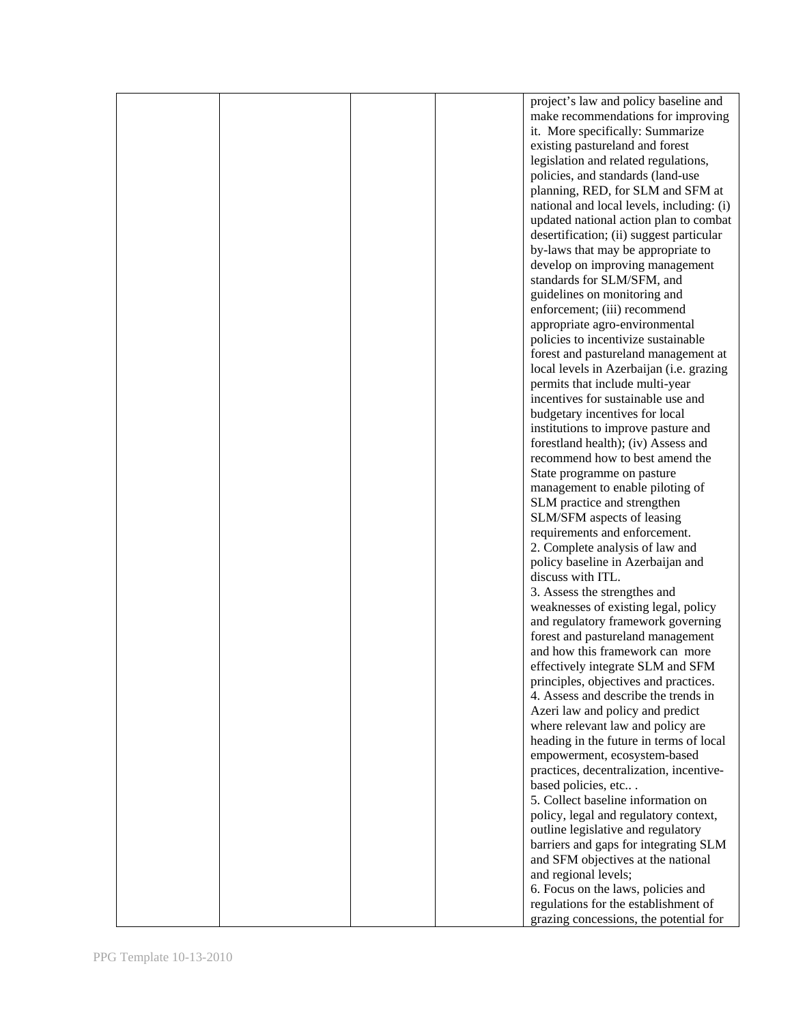|  |  | project's law and policy baseline and     |
|--|--|-------------------------------------------|
|  |  | make recommendations for improving        |
|  |  | it. More specifically: Summarize          |
|  |  |                                           |
|  |  | existing pastureland and forest           |
|  |  | legislation and related regulations,      |
|  |  | policies, and standards (land-use         |
|  |  | planning, RED, for SLM and SFM at         |
|  |  | national and local levels, including: (i) |
|  |  | updated national action plan to combat    |
|  |  |                                           |
|  |  | desertification; (ii) suggest particular  |
|  |  | by-laws that may be appropriate to        |
|  |  | develop on improving management           |
|  |  | standards for SLM/SFM, and                |
|  |  | guidelines on monitoring and              |
|  |  |                                           |
|  |  | enforcement; (iii) recommend              |
|  |  | appropriate agro-environmental            |
|  |  | policies to incentivize sustainable       |
|  |  | forest and pastureland management at      |
|  |  | local levels in Azerbaijan (i.e. grazing  |
|  |  | permits that include multi-year           |
|  |  |                                           |
|  |  | incentives for sustainable use and        |
|  |  | budgetary incentives for local            |
|  |  | institutions to improve pasture and       |
|  |  | forestland health); (iv) Assess and       |
|  |  | recommend how to best amend the           |
|  |  | State programme on pasture                |
|  |  |                                           |
|  |  | management to enable piloting of          |
|  |  | SLM practice and strengthen               |
|  |  | SLM/SFM aspects of leasing                |
|  |  | requirements and enforcement.             |
|  |  | 2. Complete analysis of law and           |
|  |  | policy baseline in Azerbaijan and         |
|  |  | discuss with ITL.                         |
|  |  |                                           |
|  |  | 3. Assess the strengthes and              |
|  |  | weaknesses of existing legal, policy      |
|  |  | and regulatory framework governing        |
|  |  | forest and pastureland management         |
|  |  | and how this framework can more           |
|  |  |                                           |
|  |  | effectively integrate SLM and SFM         |
|  |  | principles, objectives and practices.     |
|  |  | 4. Assess and describe the trends in      |
|  |  | Azeri law and policy and predict          |
|  |  | where relevant law and policy are         |
|  |  | heading in the future in terms of local   |
|  |  | empowerment, ecosystem-based              |
|  |  |                                           |
|  |  | practices, decentralization, incentive-   |
|  |  | based policies, etc                       |
|  |  | 5. Collect baseline information on        |
|  |  | policy, legal and regulatory context,     |
|  |  | outline legislative and regulatory        |
|  |  |                                           |
|  |  | barriers and gaps for integrating SLM     |
|  |  | and SFM objectives at the national        |
|  |  | and regional levels;                      |
|  |  | 6. Focus on the laws, policies and        |
|  |  | regulations for the establishment of      |
|  |  | grazing concessions, the potential for    |
|  |  |                                           |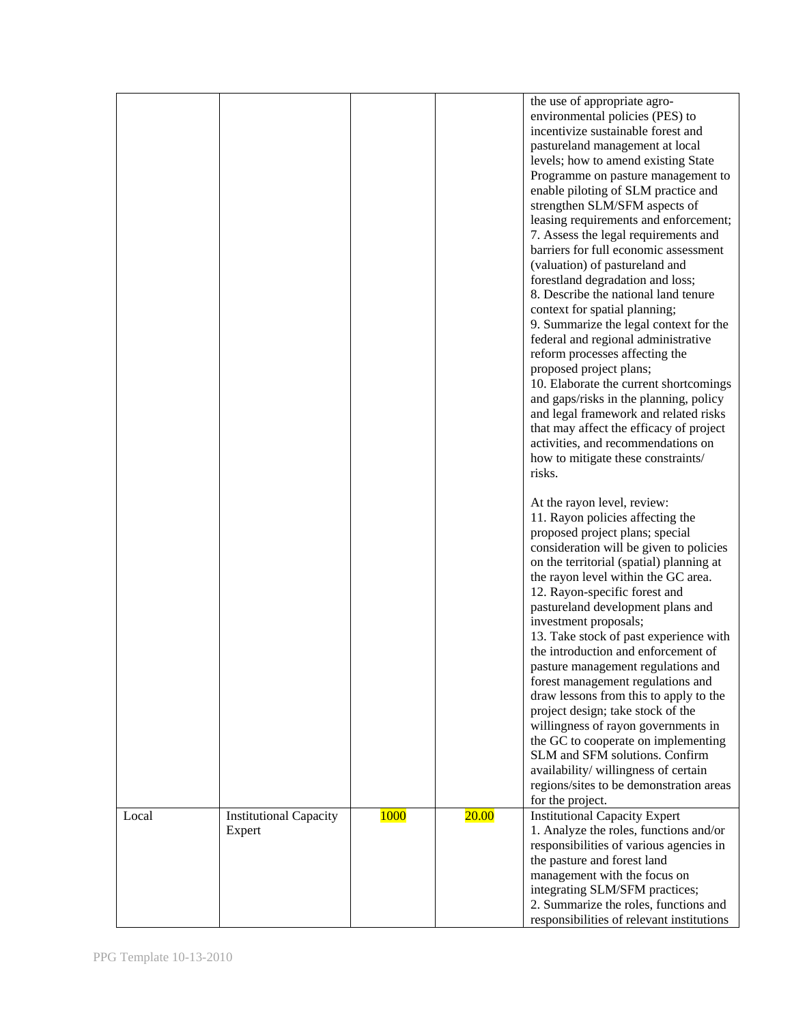|       |                                         |             |              | the use of appropriate agro-<br>environmental policies (PES) to<br>incentivize sustainable forest and<br>pastureland management at local<br>levels; how to amend existing State<br>Programme on pasture management to<br>enable piloting of SLM practice and<br>strengthen SLM/SFM aspects of<br>leasing requirements and enforcement;<br>7. Assess the legal requirements and<br>barriers for full economic assessment<br>(valuation) of pastureland and<br>forestland degradation and loss;<br>8. Describe the national land tenure<br>context for spatial planning;<br>9. Summarize the legal context for the<br>federal and regional administrative<br>reform processes affecting the<br>proposed project plans;<br>10. Elaborate the current shortcomings<br>and gaps/risks in the planning, policy<br>and legal framework and related risks<br>that may affect the efficacy of project<br>activities, and recommendations on<br>how to mitigate these constraints/<br>risks.<br>At the rayon level, review:<br>11. Rayon policies affecting the |
|-------|-----------------------------------------|-------------|--------------|-------------------------------------------------------------------------------------------------------------------------------------------------------------------------------------------------------------------------------------------------------------------------------------------------------------------------------------------------------------------------------------------------------------------------------------------------------------------------------------------------------------------------------------------------------------------------------------------------------------------------------------------------------------------------------------------------------------------------------------------------------------------------------------------------------------------------------------------------------------------------------------------------------------------------------------------------------------------------------------------------------------------------------------------------------|
|       |                                         |             |              | proposed project plans; special<br>consideration will be given to policies<br>on the territorial (spatial) planning at<br>the rayon level within the GC area.<br>12. Rayon-specific forest and<br>pastureland development plans and<br>investment proposals;<br>13. Take stock of past experience with<br>the introduction and enforcement of<br>pasture management regulations and<br>forest management regulations and<br>draw lessons from this to apply to the<br>project design; take stock of the<br>willingness of rayon governments in<br>the GC to cooperate on implementing<br>SLM and SFM solutions. Confirm<br>availability/willingness of certain<br>regions/sites to be demonstration areas<br>for the project.                                                                                                                                                                                                                                                                                                                         |
| Local | <b>Institutional Capacity</b><br>Expert | <b>1000</b> | <b>20.00</b> | <b>Institutional Capacity Expert</b><br>1. Analyze the roles, functions and/or<br>responsibilities of various agencies in<br>the pasture and forest land<br>management with the focus on<br>integrating SLM/SFM practices;<br>2. Summarize the roles, functions and<br>responsibilities of relevant institutions                                                                                                                                                                                                                                                                                                                                                                                                                                                                                                                                                                                                                                                                                                                                      |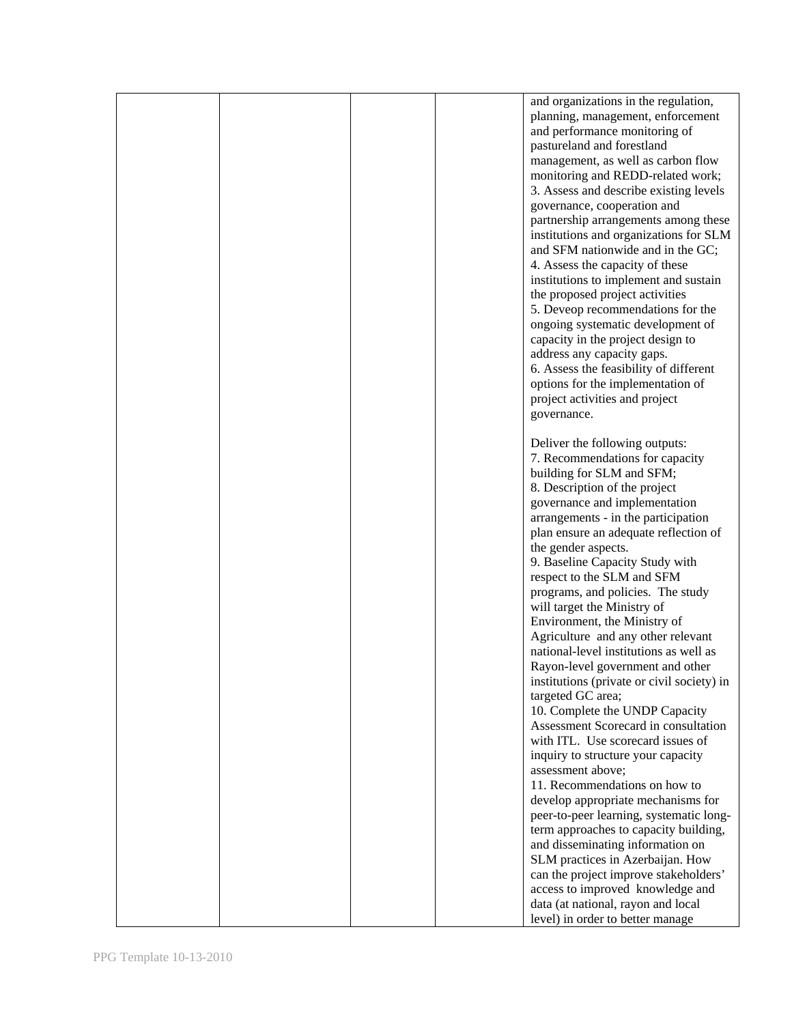|  |  | and organizations in the regulation,                               |
|--|--|--------------------------------------------------------------------|
|  |  | planning, management, enforcement<br>and performance monitoring of |
|  |  | pastureland and forestland                                         |
|  |  | management, as well as carbon flow                                 |
|  |  | monitoring and REDD-related work;                                  |
|  |  | 3. Assess and describe existing levels                             |
|  |  | governance, cooperation and                                        |
|  |  | partnership arrangements among these                               |
|  |  | institutions and organizations for SLM                             |
|  |  | and SFM nationwide and in the GC;                                  |
|  |  | 4. Assess the capacity of these                                    |
|  |  | institutions to implement and sustain                              |
|  |  | the proposed project activities                                    |
|  |  | 5. Deveop recommendations for the                                  |
|  |  | ongoing systematic development of                                  |
|  |  | capacity in the project design to                                  |
|  |  | address any capacity gaps.                                         |
|  |  | 6. Assess the feasibility of different                             |
|  |  | options for the implementation of                                  |
|  |  | project activities and project                                     |
|  |  | governance.                                                        |
|  |  | Deliver the following outputs:                                     |
|  |  | 7. Recommendations for capacity                                    |
|  |  | building for SLM and SFM;                                          |
|  |  | 8. Description of the project                                      |
|  |  | governance and implementation                                      |
|  |  | arrangements - in the participation                                |
|  |  | plan ensure an adequate reflection of                              |
|  |  | the gender aspects.                                                |
|  |  | 9. Baseline Capacity Study with                                    |
|  |  | respect to the SLM and SFM                                         |
|  |  | programs, and policies. The study                                  |
|  |  | will target the Ministry of                                        |
|  |  | Environment, the Ministry of                                       |
|  |  | Agriculture and any other relevant                                 |
|  |  | national-level institutions as well as                             |
|  |  | Rayon-level government and other                                   |
|  |  | institutions (private or civil society) in                         |
|  |  | targeted GC area;                                                  |
|  |  | 10. Complete the UNDP Capacity                                     |
|  |  | Assessment Scorecard in consultation                               |
|  |  | with ITL. Use scorecard issues of                                  |
|  |  | inquiry to structure your capacity<br>assessment above;            |
|  |  | 11. Recommendations on how to                                      |
|  |  | develop appropriate mechanisms for                                 |
|  |  | peer-to-peer learning, systematic long-                            |
|  |  | term approaches to capacity building,                              |
|  |  | and disseminating information on                                   |
|  |  | SLM practices in Azerbaijan. How                                   |
|  |  | can the project improve stakeholders'                              |
|  |  | access to improved knowledge and                                   |
|  |  | data (at national, rayon and local                                 |
|  |  | level) in order to better manage                                   |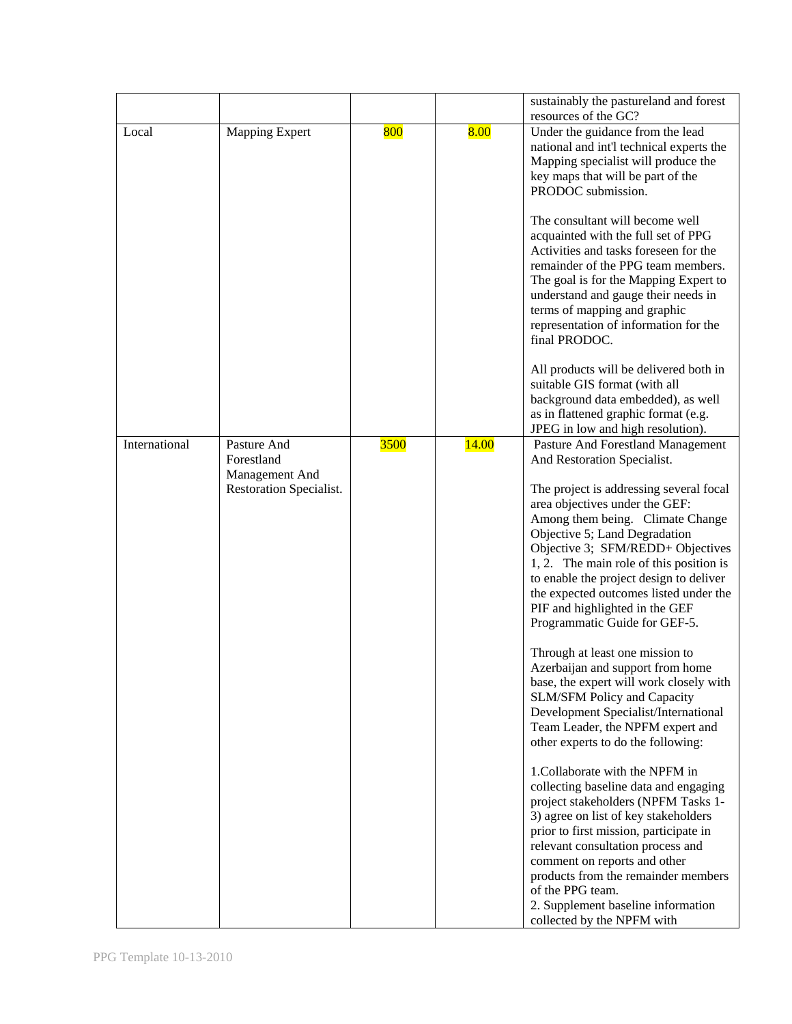|               |                                           |      |       | sustainably the pastureland and forest<br>resources of the GC?                                                                                                                                                                                                                                                                                                                                        |
|---------------|-------------------------------------------|------|-------|-------------------------------------------------------------------------------------------------------------------------------------------------------------------------------------------------------------------------------------------------------------------------------------------------------------------------------------------------------------------------------------------------------|
| Local         | <b>Mapping Expert</b>                     | 800  | 8.00  | Under the guidance from the lead<br>national and int'l technical experts the<br>Mapping specialist will produce the<br>key maps that will be part of the<br>PRODOC submission.                                                                                                                                                                                                                        |
|               |                                           |      |       | The consultant will become well<br>acquainted with the full set of PPG<br>Activities and tasks foreseen for the<br>remainder of the PPG team members.<br>The goal is for the Mapping Expert to<br>understand and gauge their needs in<br>terms of mapping and graphic<br>representation of information for the<br>final PRODOC.                                                                       |
|               |                                           |      |       | All products will be delivered both in<br>suitable GIS format (with all<br>background data embedded), as well<br>as in flattened graphic format (e.g.<br>JPEG in low and high resolution).                                                                                                                                                                                                            |
| International | Pasture And<br>Forestland                 | 3500 | 14.00 | Pasture And Forestland Management<br>And Restoration Specialist.                                                                                                                                                                                                                                                                                                                                      |
|               | Management And<br>Restoration Specialist. |      |       | The project is addressing several focal<br>area objectives under the GEF:<br>Among them being. Climate Change<br>Objective 5; Land Degradation<br>Objective 3; SFM/REDD+ Objectives<br>1, 2. The main role of this position is<br>to enable the project design to deliver<br>the expected outcomes listed under the<br>PIF and highlighted in the GEF<br>Programmatic Guide for GEF-5.                |
|               |                                           |      |       | Through at least one mission to<br>Azerbaijan and support from home<br>base, the expert will work closely with<br><b>SLM/SFM Policy and Capacity</b><br>Development Specialist/International<br>Team Leader, the NPFM expert and<br>other experts to do the following:                                                                                                                                |
|               |                                           |      |       | 1. Collaborate with the NPFM in<br>collecting baseline data and engaging<br>project stakeholders (NPFM Tasks 1-<br>3) agree on list of key stakeholders<br>prior to first mission, participate in<br>relevant consultation process and<br>comment on reports and other<br>products from the remainder members<br>of the PPG team.<br>2. Supplement baseline information<br>collected by the NPFM with |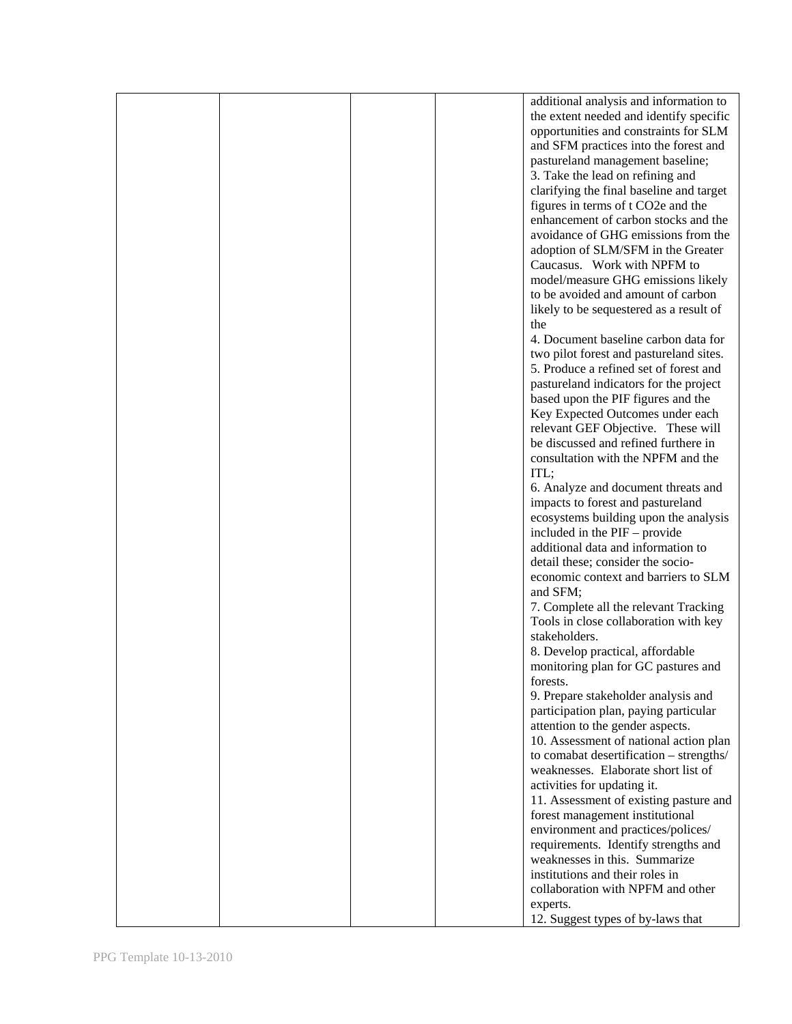|  |  | additional analysis and information to   |
|--|--|------------------------------------------|
|  |  | the extent needed and identify specific  |
|  |  | opportunities and constraints for SLM    |
|  |  |                                          |
|  |  | and SFM practices into the forest and    |
|  |  | pastureland management baseline;         |
|  |  | 3. Take the lead on refining and         |
|  |  | clarifying the final baseline and target |
|  |  | figures in terms of t CO2e and the       |
|  |  | enhancement of carbon stocks and the     |
|  |  |                                          |
|  |  | avoidance of GHG emissions from the      |
|  |  | adoption of SLM/SFM in the Greater       |
|  |  | Caucasus. Work with NPFM to              |
|  |  | model/measure GHG emissions likely       |
|  |  | to be avoided and amount of carbon       |
|  |  | likely to be sequestered as a result of  |
|  |  | the                                      |
|  |  |                                          |
|  |  | 4. Document baseline carbon data for     |
|  |  | two pilot forest and pastureland sites.  |
|  |  | 5. Produce a refined set of forest and   |
|  |  | pastureland indicators for the project   |
|  |  | based upon the PIF figures and the       |
|  |  | Key Expected Outcomes under each         |
|  |  | relevant GEF Objective. These will       |
|  |  |                                          |
|  |  | be discussed and refined furthere in     |
|  |  | consultation with the NPFM and the       |
|  |  | ITL;                                     |
|  |  | 6. Analyze and document threats and      |
|  |  | impacts to forest and pastureland        |
|  |  | ecosystems building upon the analysis    |
|  |  | included in the PIF – provide            |
|  |  | additional data and information to       |
|  |  |                                          |
|  |  | detail these; consider the socio-        |
|  |  | economic context and barriers to SLM     |
|  |  | and SFM;                                 |
|  |  | 7. Complete all the relevant Tracking    |
|  |  | Tools in close collaboration with key    |
|  |  | stakeholders.                            |
|  |  | 8. Develop practical, affordable         |
|  |  |                                          |
|  |  | monitoring plan for GC pastures and      |
|  |  | forests.                                 |
|  |  | 9. Prepare stakeholder analysis and      |
|  |  | participation plan, paying particular    |
|  |  | attention to the gender aspects.         |
|  |  | 10. Assessment of national action plan   |
|  |  | to comabat desertification - strengths/  |
|  |  | weaknesses. Elaborate short list of      |
|  |  |                                          |
|  |  | activities for updating it.              |
|  |  | 11. Assessment of existing pasture and   |
|  |  | forest management institutional          |
|  |  | environment and practices/polices/       |
|  |  | requirements. Identify strengths and     |
|  |  | weaknesses in this. Summarize            |
|  |  | institutions and their roles in          |
|  |  |                                          |
|  |  | collaboration with NPFM and other        |
|  |  | experts.                                 |
|  |  | 12. Suggest types of by-laws that        |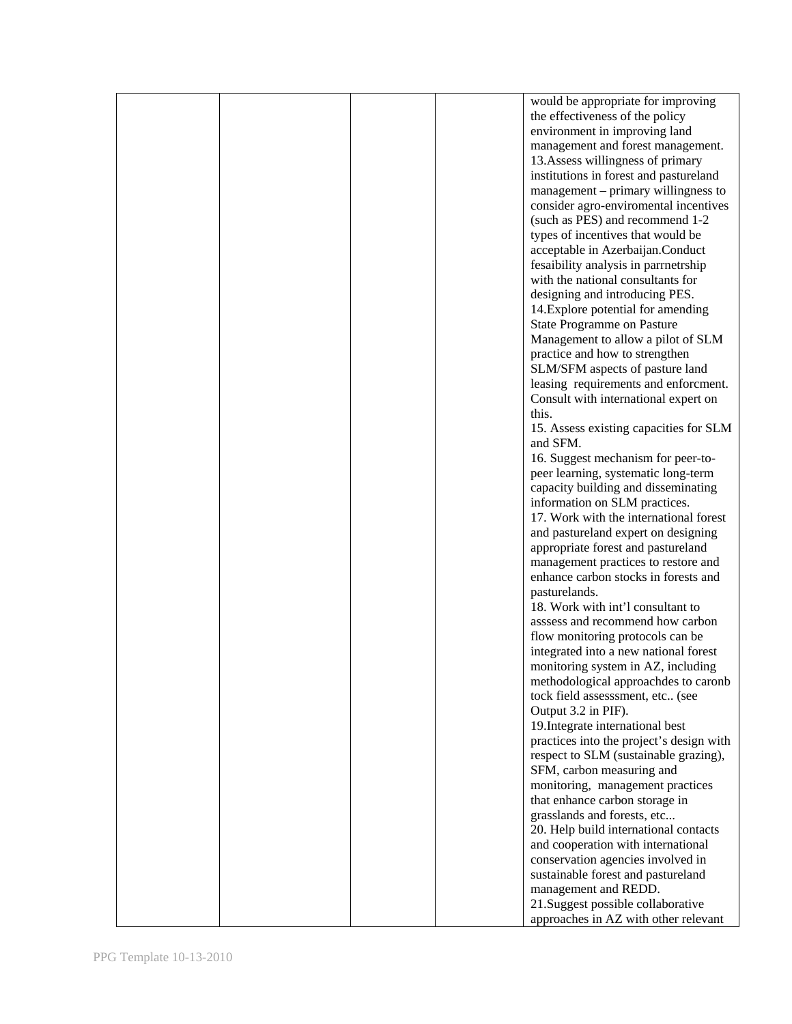|  |  | would be appropriate for improving       |
|--|--|------------------------------------------|
|  |  | the effectiveness of the policy          |
|  |  | environment in improving land            |
|  |  | management and forest management.        |
|  |  |                                          |
|  |  | 13. Assess willingness of primary        |
|  |  | institutions in forest and pastureland   |
|  |  | management – primary willingness to      |
|  |  | consider agro-enviromental incentives    |
|  |  | (such as PES) and recommend 1-2          |
|  |  | types of incentives that would be        |
|  |  |                                          |
|  |  | acceptable in Azerbaijan.Conduct         |
|  |  | fesaibility analysis in parrnetrship     |
|  |  | with the national consultants for        |
|  |  | designing and introducing PES.           |
|  |  | 14. Explore potential for amending       |
|  |  | State Programme on Pasture               |
|  |  | Management to allow a pilot of SLM       |
|  |  |                                          |
|  |  | practice and how to strengthen           |
|  |  | SLM/SFM aspects of pasture land          |
|  |  | leasing requirements and enforcment.     |
|  |  | Consult with international expert on     |
|  |  | this.                                    |
|  |  | 15. Assess existing capacities for SLM   |
|  |  | and SFM.                                 |
|  |  | 16. Suggest mechanism for peer-to-       |
|  |  |                                          |
|  |  | peer learning, systematic long-term      |
|  |  | capacity building and disseminating      |
|  |  | information on SLM practices.            |
|  |  | 17. Work with the international forest   |
|  |  | and pastureland expert on designing      |
|  |  | appropriate forest and pastureland       |
|  |  | management practices to restore and      |
|  |  | enhance carbon stocks in forests and     |
|  |  |                                          |
|  |  | pasturelands.                            |
|  |  | 18. Work with int'l consultant to        |
|  |  | asssess and recommend how carbon         |
|  |  | flow monitoring protocols can be         |
|  |  | integrated into a new national forest    |
|  |  | monitoring system in AZ, including       |
|  |  | methodological approachdes to caronb     |
|  |  | tock field assesssment, etc (see         |
|  |  |                                          |
|  |  | Output 3.2 in PIF).                      |
|  |  | 19. Integrate international best         |
|  |  | practices into the project's design with |
|  |  | respect to SLM (sustainable grazing),    |
|  |  | SFM, carbon measuring and                |
|  |  | monitoring, management practices         |
|  |  | that enhance carbon storage in           |
|  |  |                                          |
|  |  | grasslands and forests, etc              |
|  |  | 20. Help build international contacts    |
|  |  | and cooperation with international       |
|  |  | conservation agencies involved in        |
|  |  | sustainable forest and pastureland       |
|  |  | management and REDD.                     |
|  |  | 21. Suggest possible collaborative       |
|  |  |                                          |
|  |  | approaches in AZ with other relevant     |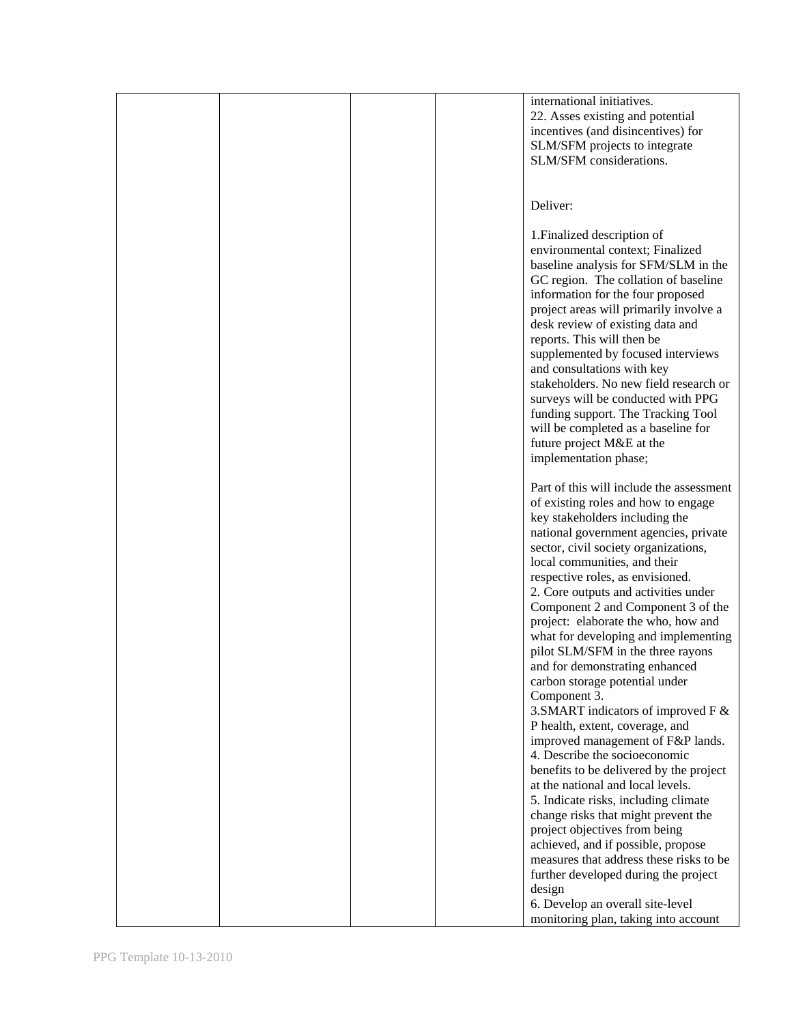|  |  | international initiatives.               |
|--|--|------------------------------------------|
|  |  | 22. Asses existing and potential         |
|  |  | incentives (and disincentives) for       |
|  |  |                                          |
|  |  | SLM/SFM projects to integrate            |
|  |  | SLM/SFM considerations.                  |
|  |  |                                          |
|  |  |                                          |
|  |  | Deliver:                                 |
|  |  |                                          |
|  |  |                                          |
|  |  | 1. Finalized description of              |
|  |  | environmental context; Finalized         |
|  |  | baseline analysis for SFM/SLM in the     |
|  |  | GC region. The collation of baseline     |
|  |  |                                          |
|  |  | information for the four proposed        |
|  |  | project areas will primarily involve a   |
|  |  | desk review of existing data and         |
|  |  | reports. This will then be               |
|  |  | supplemented by focused interviews       |
|  |  |                                          |
|  |  | and consultations with key               |
|  |  | stakeholders. No new field research or   |
|  |  | surveys will be conducted with PPG       |
|  |  | funding support. The Tracking Tool       |
|  |  | will be completed as a baseline for      |
|  |  |                                          |
|  |  | future project M&E at the                |
|  |  | implementation phase;                    |
|  |  |                                          |
|  |  | Part of this will include the assessment |
|  |  | of existing roles and how to engage      |
|  |  |                                          |
|  |  | key stakeholders including the           |
|  |  | national government agencies, private    |
|  |  | sector, civil society organizations,     |
|  |  | local communities, and their             |
|  |  | respective roles, as envisioned.         |
|  |  |                                          |
|  |  | 2. Core outputs and activities under     |
|  |  | Component 2 and Component 3 of the       |
|  |  | project: elaborate the who, how and      |
|  |  | what for developing and implementing     |
|  |  | pilot SLM/SFM in the three rayons        |
|  |  |                                          |
|  |  | and for demonstrating enhanced           |
|  |  | carbon storage potential under           |
|  |  | Component 3.                             |
|  |  | 3. SMART indicators of improved F &      |
|  |  | P health, extent, coverage, and          |
|  |  | improved management of F&P lands.        |
|  |  |                                          |
|  |  | 4. Describe the socioeconomic            |
|  |  | benefits to be delivered by the project  |
|  |  | at the national and local levels.        |
|  |  | 5. Indicate risks, including climate     |
|  |  | change risks that might prevent the      |
|  |  |                                          |
|  |  | project objectives from being            |
|  |  | achieved, and if possible, propose       |
|  |  | measures that address these risks to be  |
|  |  | further developed during the project     |
|  |  | design                                   |
|  |  |                                          |
|  |  | 6. Develop an overall site-level         |
|  |  | monitoring plan, taking into account     |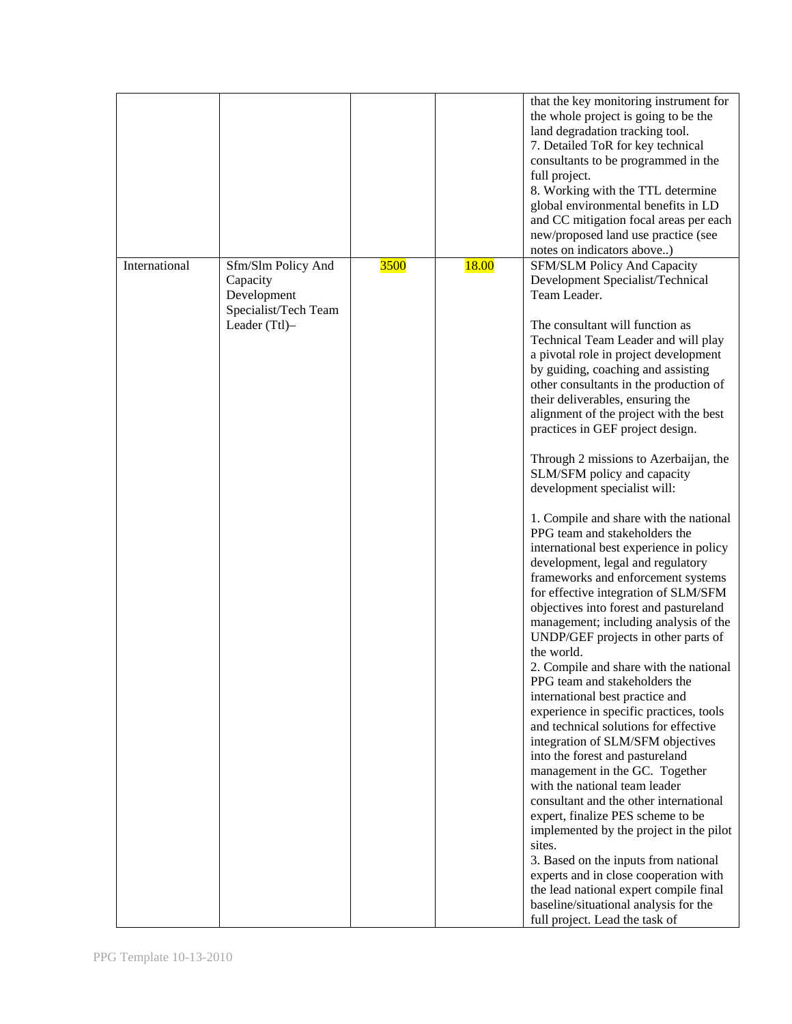|               |                                                                                        |      |              | that the key monitoring instrument for<br>the whole project is going to be the<br>land degradation tracking tool.<br>7. Detailed ToR for key technical<br>consultants to be programmed in the<br>full project.<br>8. Working with the TTL determine<br>global environmental benefits in LD<br>and CC mitigation focal areas per each<br>new/proposed land use practice (see<br>notes on indicators above)                                                                                                                                                                                                                                                                                                                                                                                                                                                                                                                                                                                                                                                                                                                                                                                                                                                                                                                                                                                                                                                                                                                                                                                   |
|---------------|----------------------------------------------------------------------------------------|------|--------------|---------------------------------------------------------------------------------------------------------------------------------------------------------------------------------------------------------------------------------------------------------------------------------------------------------------------------------------------------------------------------------------------------------------------------------------------------------------------------------------------------------------------------------------------------------------------------------------------------------------------------------------------------------------------------------------------------------------------------------------------------------------------------------------------------------------------------------------------------------------------------------------------------------------------------------------------------------------------------------------------------------------------------------------------------------------------------------------------------------------------------------------------------------------------------------------------------------------------------------------------------------------------------------------------------------------------------------------------------------------------------------------------------------------------------------------------------------------------------------------------------------------------------------------------------------------------------------------------|
| International | Sfm/Slm Policy And<br>Capacity<br>Development<br>Specialist/Tech Team<br>Leader (Ttl)- | 3500 | <b>18.00</b> | <b>SFM/SLM Policy And Capacity</b><br>Development Specialist/Technical<br>Team Leader.<br>The consultant will function as<br>Technical Team Leader and will play<br>a pivotal role in project development<br>by guiding, coaching and assisting<br>other consultants in the production of<br>their deliverables, ensuring the<br>alignment of the project with the best<br>practices in GEF project design.<br>Through 2 missions to Azerbaijan, the<br>SLM/SFM policy and capacity<br>development specialist will:<br>1. Compile and share with the national<br>PPG team and stakeholders the<br>international best experience in policy<br>development, legal and regulatory<br>frameworks and enforcement systems<br>for effective integration of SLM/SFM<br>objectives into forest and pastureland<br>management; including analysis of the<br>UNDP/GEF projects in other parts of<br>the world.<br>2. Compile and share with the national<br>PPG team and stakeholders the<br>international best practice and<br>experience in specific practices, tools<br>and technical solutions for effective<br>integration of SLM/SFM objectives<br>into the forest and pastureland<br>management in the GC. Together<br>with the national team leader<br>consultant and the other international<br>expert, finalize PES scheme to be<br>implemented by the project in the pilot<br>sites.<br>3. Based on the inputs from national<br>experts and in close cooperation with<br>the lead national expert compile final<br>baseline/situational analysis for the<br>full project. Lead the task of |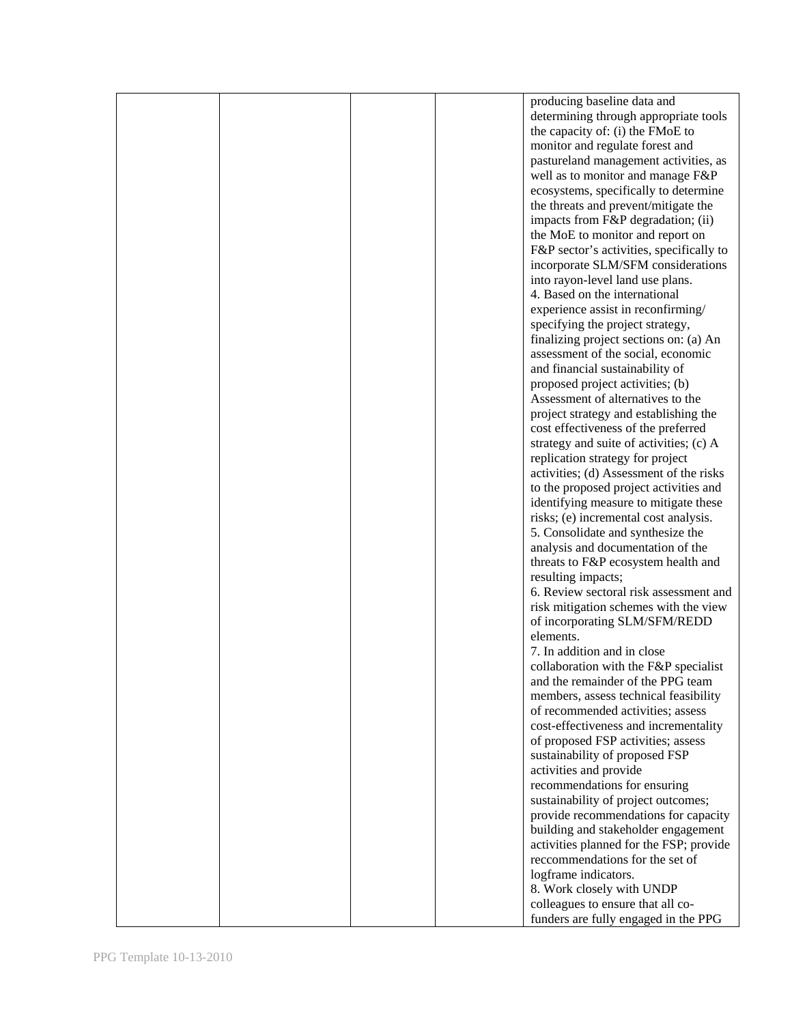|  |  | producing baseline data and              |
|--|--|------------------------------------------|
|  |  | determining through appropriate tools    |
|  |  |                                          |
|  |  | the capacity of: (i) the FMoE to         |
|  |  | monitor and regulate forest and          |
|  |  | pastureland management activities, as    |
|  |  | well as to monitor and manage F&P        |
|  |  |                                          |
|  |  | ecosystems, specifically to determine    |
|  |  | the threats and prevent/mitigate the     |
|  |  | impacts from F&P degradation; (ii)       |
|  |  | the MoE to monitor and report on         |
|  |  | F&P sector's activities, specifically to |
|  |  |                                          |
|  |  | incorporate SLM/SFM considerations       |
|  |  | into rayon-level land use plans.         |
|  |  | 4. Based on the international            |
|  |  | experience assist in reconfirming/       |
|  |  |                                          |
|  |  | specifying the project strategy,         |
|  |  | finalizing project sections on: (a) An   |
|  |  | assessment of the social, economic       |
|  |  | and financial sustainability of          |
|  |  | proposed project activities; (b)         |
|  |  | Assessment of alternatives to the        |
|  |  |                                          |
|  |  | project strategy and establishing the    |
|  |  | cost effectiveness of the preferred      |
|  |  | strategy and suite of activities; (c) A  |
|  |  | replication strategy for project         |
|  |  | activities; (d) Assessment of the risks  |
|  |  |                                          |
|  |  | to the proposed project activities and   |
|  |  | identifying measure to mitigate these    |
|  |  | risks; (e) incremental cost analysis.    |
|  |  | 5. Consolidate and synthesize the        |
|  |  | analysis and documentation of the        |
|  |  | threats to F&P ecosystem health and      |
|  |  |                                          |
|  |  | resulting impacts;                       |
|  |  | 6. Review sectoral risk assessment and   |
|  |  | risk mitigation schemes with the view    |
|  |  | of incorporating SLM/SFM/REDD            |
|  |  | elements.                                |
|  |  |                                          |
|  |  | 7. In addition and in close              |
|  |  | collaboration with the F&P specialist    |
|  |  | and the remainder of the PPG team        |
|  |  | members, assess technical feasibility    |
|  |  | of recommended activities; assess        |
|  |  | cost-effectiveness and incrementality    |
|  |  |                                          |
|  |  | of proposed FSP activities; assess       |
|  |  | sustainability of proposed FSP           |
|  |  | activities and provide                   |
|  |  | recommendations for ensuring             |
|  |  | sustainability of project outcomes;      |
|  |  |                                          |
|  |  | provide recommendations for capacity     |
|  |  | building and stakeholder engagement      |
|  |  | activities planned for the FSP; provide  |
|  |  | recommendations for the set of           |
|  |  | logframe indicators.                     |
|  |  |                                          |
|  |  | 8. Work closely with UNDP                |
|  |  | colleagues to ensure that all co-        |
|  |  | funders are fully engaged in the PPG     |